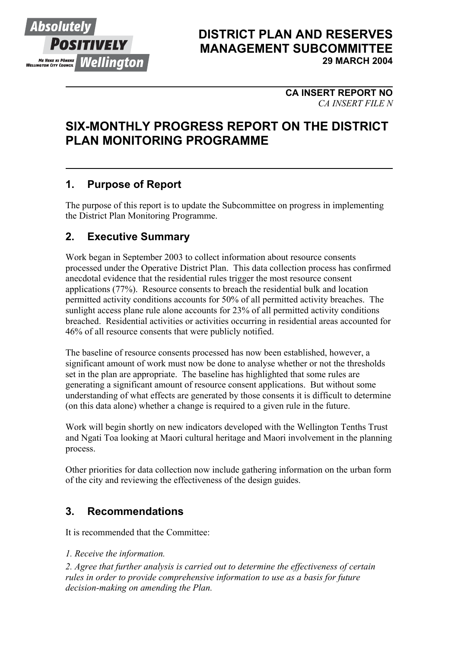

## **DISTRICT PLAN AND RESERVES MANAGEMENT SUBCOMMITTEE 29 MARCH 2004**

## **CA INSERT REPORT NO**  *CA INSERT FILE N*

# **SIX-MONTHLY PROGRESS REPORT ON THE DISTRICT PLAN MONITORING PROGRAMME**

# **1. Purpose of Report**

The purpose of this report is to update the Subcommittee on progress in implementing the District Plan Monitoring Programme.

## **2. Executive Summary**

Work began in September 2003 to collect information about resource consents processed under the Operative District Plan. This data collection process has confirmed anecdotal evidence that the residential rules trigger the most resource consent applications (77%). Resource consents to breach the residential bulk and location permitted activity conditions accounts for 50% of all permitted activity breaches. The sunlight access plane rule alone accounts for 23% of all permitted activity conditions breached. Residential activities or activities occurring in residential areas accounted for 46% of all resource consents that were publicly notified.

The baseline of resource consents processed has now been established, however, a significant amount of work must now be done to analyse whether or not the thresholds set in the plan are appropriate. The baseline has highlighted that some rules are generating a significant amount of resource consent applications. But without some understanding of what effects are generated by those consents it is difficult to determine (on this data alone) whether a change is required to a given rule in the future.

Work will begin shortly on new indicators developed with the Wellington Tenths Trust and Ngati Toa looking at Maori cultural heritage and Maori involvement in the planning process.

Other priorities for data collection now include gathering information on the urban form of the city and reviewing the effectiveness of the design guides.

# **3. Recommendations**

It is recommended that the Committee:

*1. Receive the information.* 

*2. Agree that further analysis is carried out to determine the effectiveness of certain rules in order to provide comprehensive information to use as a basis for future decision-making on amending the Plan.*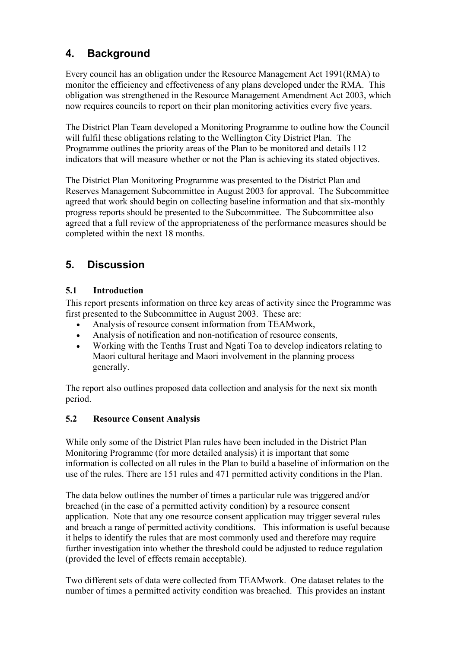# **4. Background**

Every council has an obligation under the Resource Management Act 1991(RMA) to monitor the efficiency and effectiveness of any plans developed under the RMA. This obligation was strengthened in the Resource Management Amendment Act 2003, which now requires councils to report on their plan monitoring activities every five years.

The District Plan Team developed a Monitoring Programme to outline how the Council will fulfil these obligations relating to the Wellington City District Plan. The Programme outlines the priority areas of the Plan to be monitored and details 112 indicators that will measure whether or not the Plan is achieving its stated objectives.

The District Plan Monitoring Programme was presented to the District Plan and Reserves Management Subcommittee in August 2003 for approval. The Subcommittee agreed that work should begin on collecting baseline information and that six-monthly progress reports should be presented to the Subcommittee. The Subcommittee also agreed that a full review of the appropriateness of the performance measures should be completed within the next 18 months.

# **5. Discussion**

### **5.1 Introduction**

This report presents information on three key areas of activity since the Programme was first presented to the Subcommittee in August 2003. These are:

- Analysis of resource consent information from TEAMwork,
- Analysis of notification and non-notification of resource consents,
- Working with the Tenths Trust and Ngati Toa to develop indicators relating to Maori cultural heritage and Maori involvement in the planning process generally.

The report also outlines proposed data collection and analysis for the next six month period.

## **5.2 Resource Consent Analysis**

While only some of the District Plan rules have been included in the District Plan Monitoring Programme (for more detailed analysis) it is important that some information is collected on all rules in the Plan to build a baseline of information on the use of the rules. There are 151 rules and 471 permitted activity conditions in the Plan.

The data below outlines the number of times a particular rule was triggered and/or breached (in the case of a permitted activity condition) by a resource consent application. Note that any one resource consent application may trigger several rules and breach a range of permitted activity conditions. This information is useful because it helps to identify the rules that are most commonly used and therefore may require further investigation into whether the threshold could be adjusted to reduce regulation (provided the level of effects remain acceptable).

Two different sets of data were collected from TEAMwork. One dataset relates to the number of times a permitted activity condition was breached. This provides an instant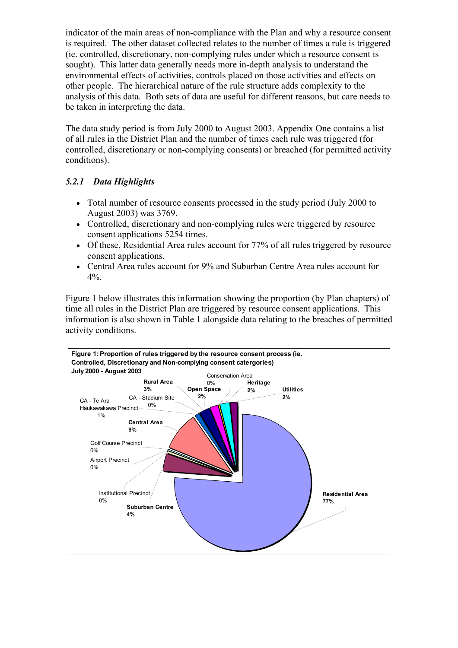indicator of the main areas of non-compliance with the Plan and why a resource consent is required. The other dataset collected relates to the number of times a rule is triggered (ie. controlled, discretionary, non-complying rules under which a resource consent is sought). This latter data generally needs more in-depth analysis to understand the environmental effects of activities, controls placed on those activities and effects on other people. The hierarchical nature of the rule structure adds complexity to the analysis of this data. Both sets of data are useful for different reasons, but care needs to be taken in interpreting the data.

The data study period is from July 2000 to August 2003. Appendix One contains a list of all rules in the District Plan and the number of times each rule was triggered (for controlled, discretionary or non-complying consents) or breached (for permitted activity conditions).

## *5.2.1 Data Highlights*

- Total number of resource consents processed in the study period (July 2000 to August 2003) was 3769.
- Controlled, discretionary and non-complying rules were triggered by resource consent applications 5254 times.
- Of these, Residential Area rules account for 77% of all rules triggered by resource consent applications.
- Central Area rules account for 9% and Suburban Centre Area rules account for 4%.

Figure 1 below illustrates this information showing the proportion (by Plan chapters) of time all rules in the District Plan are triggered by resource consent applications. This information is also shown in Table 1 alongside data relating to the breaches of permitted activity conditions.

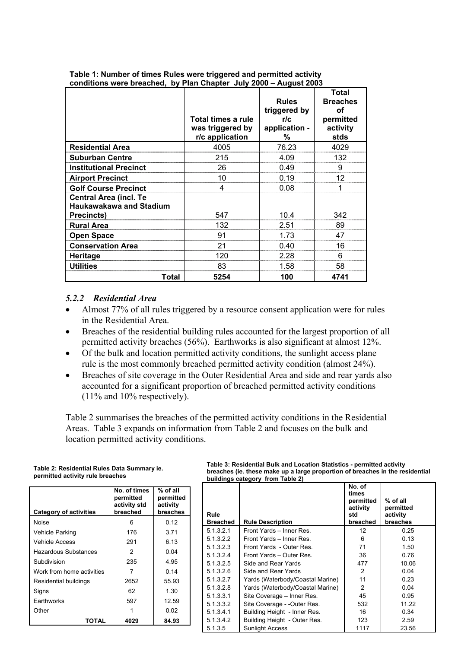|                                                                               | Total times a rule<br>was triggered by<br>r/c application | <b>Rules</b><br>triggered by<br>r/c<br>application -<br>℅ | <b>Total</b><br><b>Breaches</b><br>οf<br>permitted<br>activity<br>stds |
|-------------------------------------------------------------------------------|-----------------------------------------------------------|-----------------------------------------------------------|------------------------------------------------------------------------|
| <b>Residential Area</b>                                                       | 4005                                                      | 76.23                                                     | 4029                                                                   |
| <b>Suburban Centre</b>                                                        | 215                                                       | 4.09                                                      | 132                                                                    |
| <b>Institutional Precinct</b>                                                 | 26                                                        | 0.49                                                      |                                                                        |
| <b>Airport Precinct</b>                                                       | 10                                                        | 0.19                                                      | 12                                                                     |
| <b>Golf Course Precinct</b>                                                   | 4                                                         | 0.08                                                      |                                                                        |
| <b>Central Area (incl. Te</b><br><b>Haukawakawa and Stadium</b><br>Precincts) | 547                                                       | 10.4                                                      | 342                                                                    |
| <b>Rural Area</b>                                                             | 132                                                       | 2.51                                                      | 89                                                                     |
| <b>Open Space</b>                                                             | 91                                                        | 1.73                                                      | 47                                                                     |
| <b>Conservation Area</b>                                                      | 21                                                        | 0.40                                                      | 16                                                                     |
| Heritage                                                                      | 120                                                       | 2.28                                                      | 6                                                                      |
| <b>Utilities</b>                                                              | 83                                                        | 1.58                                                      | 58                                                                     |
| Total                                                                         | 5254                                                      | 100                                                       | 4741                                                                   |

#### **Table 1: Number of times Rules were triggered and permitted activity conditions were breached, by Plan Chapter July 2000 – August 2003**

#### *5.2.2 Residential Area*

- Almost 77% of all rules triggered by a resource consent application were for rules in the Residential Area.
- Breaches of the residential building rules accounted for the largest proportion of all permitted activity breaches (56%). Earthworks is also significant at almost 12%.
- Of the bulk and location permitted activity conditions, the sunlight access plane rule is the most commonly breached permitted activity condition (almost 24%).
- Breaches of site coverage in the Outer Residential Area and side and rear yards also accounted for a significant proportion of breached permitted activity conditions (11% and 10% respectively).

Table 2 summarises the breaches of the permitted activity conditions in the Residential Areas. Table 3 expands on information from Table 2 and focuses on the bulk and location permitted activity conditions.

| <b>Category of activities</b> | No. of times<br>permitted<br>activity std<br>breached | $%$ of all<br>permitted<br>activity<br>breaches | Rule           |
|-------------------------------|-------------------------------------------------------|-------------------------------------------------|----------------|
| Noise                         | 6                                                     | 0.12                                            | Brea           |
| <b>Vehicle Parking</b>        | 176                                                   | 3.71                                            | 5.1.3          |
| <b>Vehicle Access</b>         | 291                                                   | 6.13                                            | 5.1.3          |
| Hazardous Substances          | 2                                                     | 0.04                                            | 5.1.3<br>5.1.3 |
| Subdivision                   | 235                                                   | 4.95                                            | 5.1.3          |
| Work from home activities     | 7                                                     | 0.14                                            | 5.1.3          |
| Residential buildings         | 2652                                                  | 55.93                                           | 5.1.3          |
| Signs                         | 62                                                    | 1.30                                            | 5.1.3<br>5.1.3 |
| Earthworks                    | 597                                                   | 12.59                                           | 5.1.3          |
| Other                         |                                                       | 0.02                                            | 5.1.3          |
| TOTAL                         | 4029                                                  | 84.93                                           | 5.1.3          |

**Table 2: Residential Rules Data Summary ie.** 

**permitted activity rule breaches** 

**Table 3: Residential Bulk and Location Statistics - permitted activity breaches (ie. these make up a large proportion of breaches in the residential buildings category from Table 2)**   $\mathbf{r}$ 

| Rule<br><b>Breached</b> | <b>Rule Description</b>          | No. of<br>times<br>permitted<br>activity<br>std<br>breached | $%$ of all<br>permitted<br>activity<br>breaches |
|-------------------------|----------------------------------|-------------------------------------------------------------|-------------------------------------------------|
| 5.1.3.2.1               | Front Yards - Inner Res.         | 12                                                          | 0.25                                            |
| 5.1.3.2.2               | Front Yards - Inner Res.         | 6                                                           | 0.13                                            |
| 5.1.3.2.3               | Front Yards - Outer Res.         | 71                                                          | 1.50                                            |
| 5.1.3.2.4               | Front Yards - Outer Res.         | 36                                                          | 0.76                                            |
| 5.1.3.2.5               | Side and Rear Yards              | 477                                                         | 10.06                                           |
| 5.1.3.2.6               | Side and Rear Yards              | 2                                                           | 0.04                                            |
| 5.1.3.2.7               | Yards (Waterbody/Coastal Marine) | 11                                                          | 0.23                                            |
| 5.1.3.2.8               | Yards (Waterbody/Coastal Marine) | 2                                                           | 0.04                                            |
| 5.1.3.3.1               | Site Coverage - Inner Res.       | 45                                                          | 0.95                                            |
| 5.1.3.3.2               | Site Coverage - - Outer Res.     | 532                                                         | 11.22                                           |
| 5.1.3.4.1               | Building Height - Inner Res.     | 16                                                          | 0.34                                            |
| 5.1.3.4.2               | Building Height - Outer Res.     | 123                                                         | 2.59                                            |
| 5.1.3.5                 | <b>Sunlight Access</b>           | 1117                                                        | 23.56                                           |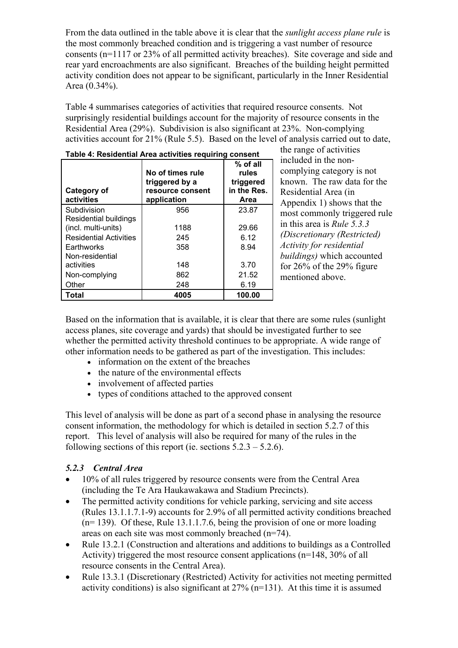From the data outlined in the table above it is clear that the *sunlight access plane rule* is the most commonly breached condition and is triggering a vast number of resource consents (n=1117 or 23% of all permitted activity breaches). Site coverage and side and rear yard encroachments are also significant. Breaches of the building height permitted activity condition does not appear to be significant, particularly in the Inner Residential Area (0.34%).

Table 4 summarises categories of activities that required resource consents. Not surprisingly residential buildings account for the majority of resource consents in the Residential Area (29%). Subdivision is also significant at 23%. Non-complying activities account for 21% (Rule 5.5). Based on the level of analysis carried out to date,

| Category of<br>activities     | No of times rule<br>triggered by a<br>resource consent<br>application | % of all<br>rules<br>triggered<br>in the Res.<br>Area |
|-------------------------------|-----------------------------------------------------------------------|-------------------------------------------------------|
| Subdivision                   | 956                                                                   | 23.87                                                 |
| Residential buildings         |                                                                       |                                                       |
| (incl. multi-units)           | 1188                                                                  | 29.66                                                 |
| <b>Residential Activities</b> | 245                                                                   | 6.12                                                  |
| Earthworks                    | 358                                                                   | 8.94                                                  |
| Non-residential               |                                                                       |                                                       |
| activities                    | 148                                                                   | 3.70                                                  |
| Non-complying                 | 862                                                                   | 21.52                                                 |
| Other                         | 248                                                                   | 6.19                                                  |
| Total                         | 4005                                                                  | 100.00                                                |

**Table 4: Residential Area activities requiring consent**

the range of activities included in the noncomplying category is not known. The raw data for the Residential Area (in Appendix 1) shows that the most commonly triggered rule in this area is *Rule 5.3.3 (Discretionary (Restricted) Activity for residential buildings)* which accounted for 26% of the 29% figure mentioned above.

Based on the information that is available, it is clear that there are some rules (sunlight access planes, site coverage and yards) that should be investigated further to see whether the permitted activity threshold continues to be appropriate. A wide range of other information needs to be gathered as part of the investigation. This includes:

- information on the extent of the breaches
- the nature of the environmental effects
- involvement of affected parties
- types of conditions attached to the approved consent

This level of analysis will be done as part of a second phase in analysing the resource consent information, the methodology for which is detailed in section 5.2.7 of this report. This level of analysis will also be required for many of the rules in the following sections of this report (ie. sections  $5.2.3 - 5.2.6$ ).

## *5.2.3 Central Area*

- 10% of all rules triggered by resource consents were from the Central Area (including the Te Ara Haukawakawa and Stadium Precincts).
- The permitted activity conditions for vehicle parking, servicing and site access (Rules 13.1.1.7.1-9) accounts for 2.9% of all permitted activity conditions breached  $(n= 139)$ . Of these, Rule 13.1.1.7.6, being the provision of one or more loading areas on each site was most commonly breached (n=74).
- Rule 13.2.1 (Construction and alterations and additions to buildings as a Controlled Activity) triggered the most resource consent applications (n=148, 30% of all resource consents in the Central Area).
- Rule 13.3.1 (Discretionary (Restricted) Activity for activities not meeting permitted activity conditions) is also significant at  $27\%$  (n=131). At this time it is assumed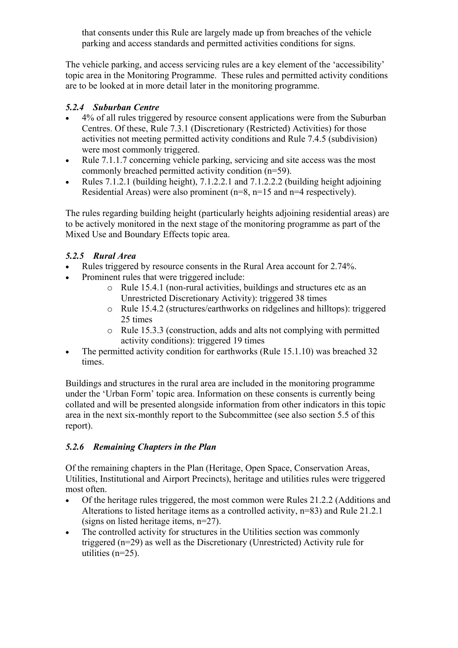that consents under this Rule are largely made up from breaches of the vehicle parking and access standards and permitted activities conditions for signs.

The vehicle parking, and access servicing rules are a key element of the 'accessibility' topic area in the Monitoring Programme. These rules and permitted activity conditions are to be looked at in more detail later in the monitoring programme.

## *5.2.4 Suburban Centre*

- 4% of all rules triggered by resource consent applications were from the Suburban Centres. Of these, Rule 7.3.1 (Discretionary (Restricted) Activities) for those activities not meeting permitted activity conditions and Rule 7.4.5 (subdivision) were most commonly triggered.
- Rule 7.1.1.7 concerning vehicle parking, servicing and site access was the most commonly breached permitted activity condition (n=59).
- Rules 7.1.2.1 (building height), 7.1.2.2.1 and 7.1.2.2.2 (building height adjoining Residential Areas) were also prominent (n=8, n=15 and n=4 respectively).

The rules regarding building height (particularly heights adjoining residential areas) are to be actively monitored in the next stage of the monitoring programme as part of the Mixed Use and Boundary Effects topic area.

## *5.2.5 Rural Area*

- Rules triggered by resource consents in the Rural Area account for 2.74%.
- Prominent rules that were triggered include:
	- o Rule 15.4.1 (non-rural activities, buildings and structures etc as an Unrestricted Discretionary Activity): triggered 38 times
	- o Rule 15.4.2 (structures/earthworks on ridgelines and hilltops): triggered 25 times
	- o Rule 15.3.3 (construction, adds and alts not complying with permitted activity conditions): triggered 19 times
- The permitted activity condition for earthworks (Rule 15.1.10) was breached 32 times.

Buildings and structures in the rural area are included in the monitoring programme under the 'Urban Form' topic area. Information on these consents is currently being collated and will be presented alongside information from other indicators in this topic area in the next six-monthly report to the Subcommittee (see also section 5.5 of this report).

## *5.2.6 Remaining Chapters in the Plan*

Of the remaining chapters in the Plan (Heritage, Open Space, Conservation Areas, Utilities, Institutional and Airport Precincts), heritage and utilities rules were triggered most often.

- Of the heritage rules triggered, the most common were Rules 21.2.2 (Additions and Alterations to listed heritage items as a controlled activity, n=83) and Rule 21.2.1 (signs on listed heritage items, n=27).
- The controlled activity for structures in the Utilities section was commonly triggered (n=29) as well as the Discretionary (Unrestricted) Activity rule for utilities (n=25).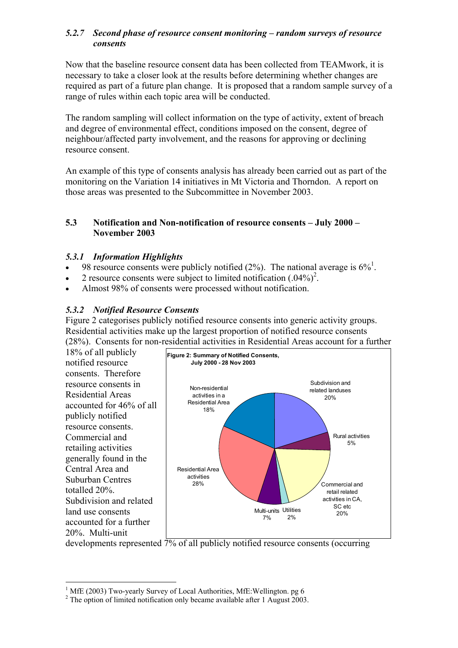### *5.2.7 Second phase of resource consent monitoring – random surveys of resource consents*

Now that the baseline resource consent data has been collected from TEAMwork, it is necessary to take a closer look at the results before determining whether changes are required as part of a future plan change. It is proposed that a random sample survey of a range of rules within each topic area will be conducted.

The random sampling will collect information on the type of activity, extent of breach and degree of environmental effect, conditions imposed on the consent, degree of neighbour/affected party involvement, and the reasons for approving or declining resource consent.

An example of this type of consents analysis has already been carried out as part of the monitoring on the Variation 14 initiatives in Mt Victoria and Thorndon. A report on those areas was presented to the Subcommittee in November 2003.

#### **5.3 Notification and Non-notification of resource consents – July 2000 – November 2003**

### *5.3.1 Information Highlights*

- 98 resource consents were publicly notified  $(2%)$ . The national average is  $6\%$ <sup>1</sup>.
- 2 resource consents were subject to limited notification  $(.04\%)^2$ .
- Almost 98% of consents were processed without notification.

## *5.3.2 Notified Resource Consents*

Figure 2 categorises publicly notified resource consents into generic activity groups. Residential activities make up the largest proportion of notified resource consents (28%). Consents for non-residential activities in Residential Areas account for a further

**Figure 2: Summary of Notified Consents, July 2000 - 28 Nov 2003** Subdivision and related landuses 20% Rural activities 5% Commercial and retail related activities in CA, SC etc Multi-units Utilities<br>20% 20% 2% 7% Non-residential activities in a Residential Area 18% Residential Area activities 28% 18% of all publicly notified resource consents. Therefore resource consents in Residential Areas accounted for 46% of all publicly notified resource consents. Commercial and retailing activities generally found in the Central Area and Suburban Centres totalled 20%. Subdivision and related land use consents accounted for a further 20%. Multi-unit

developments represented 7% of all publicly notified resource consents (occurring

 $\overline{a}$ 

<sup>&</sup>lt;sup>1</sup> MfE (2003) Two-yearly Survey of Local Authorities, MfE: Wellington. pg 6<br> $\frac{2}{\pi}$  The option of limited notification only became available ofter 1. Awayst 2003

 $2$  The option of limited notification only became available after 1 August 2003.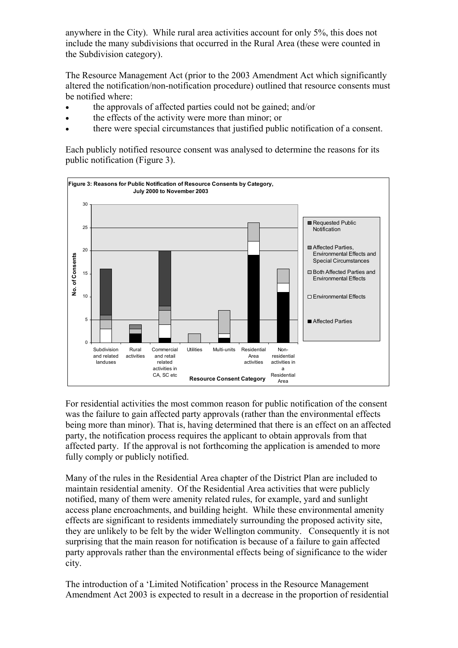anywhere in the City). While rural area activities account for only 5%, this does not include the many subdivisions that occurred in the Rural Area (these were counted in the Subdivision category).

The Resource Management Act (prior to the 2003 Amendment Act which significantly altered the notification/non-notification procedure) outlined that resource consents must be notified where:

- the approvals of affected parties could not be gained; and/or
- the effects of the activity were more than minor; or
- there were special circumstances that justified public notification of a consent.

Each publicly notified resource consent was analysed to determine the reasons for its public notification (Figure 3).



For residential activities the most common reason for public notification of the consent was the failure to gain affected party approvals (rather than the environmental effects being more than minor). That is, having determined that there is an effect on an affected party, the notification process requires the applicant to obtain approvals from that affected party. If the approval is not forthcoming the application is amended to more fully comply or publicly notified.

Many of the rules in the Residential Area chapter of the District Plan are included to maintain residential amenity. Of the Residential Area activities that were publicly notified, many of them were amenity related rules, for example, yard and sunlight access plane encroachments, and building height. While these environmental amenity effects are significant to residents immediately surrounding the proposed activity site, they are unlikely to be felt by the wider Wellington community. Consequently it is not surprising that the main reason for notification is because of a failure to gain affected party approvals rather than the environmental effects being of significance to the wider city.

The introduction of a 'Limited Notification' process in the Resource Management Amendment Act 2003 is expected to result in a decrease in the proportion of residential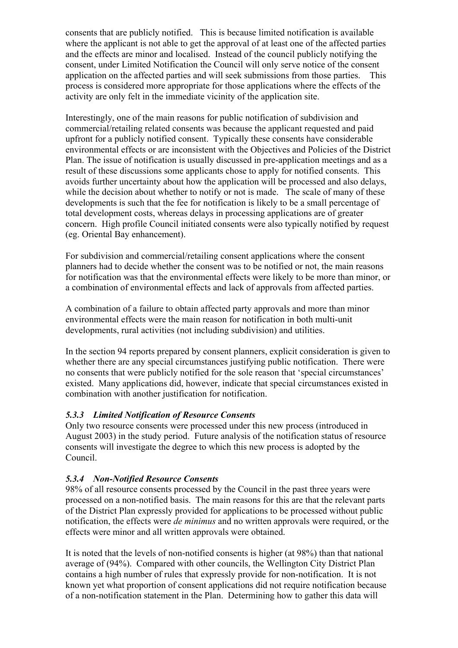consents that are publicly notified. This is because limited notification is available where the applicant is not able to get the approval of at least one of the affected parties and the effects are minor and localised. Instead of the council publicly notifying the consent, under Limited Notification the Council will only serve notice of the consent application on the affected parties and will seek submissions from those parties. This process is considered more appropriate for those applications where the effects of the activity are only felt in the immediate vicinity of the application site.

Interestingly, one of the main reasons for public notification of subdivision and commercial/retailing related consents was because the applicant requested and paid upfront for a publicly notified consent. Typically these consents have considerable environmental effects or are inconsistent with the Objectives and Policies of the District Plan. The issue of notification is usually discussed in pre-application meetings and as a result of these discussions some applicants chose to apply for notified consents. This avoids further uncertainty about how the application will be processed and also delays, while the decision about whether to notify or not is made. The scale of many of these developments is such that the fee for notification is likely to be a small percentage of total development costs, whereas delays in processing applications are of greater concern. High profile Council initiated consents were also typically notified by request (eg. Oriental Bay enhancement).

For subdivision and commercial/retailing consent applications where the consent planners had to decide whether the consent was to be notified or not, the main reasons for notification was that the environmental effects were likely to be more than minor, or a combination of environmental effects and lack of approvals from affected parties.

A combination of a failure to obtain affected party approvals and more than minor environmental effects were the main reason for notification in both multi-unit developments, rural activities (not including subdivision) and utilities.

In the section 94 reports prepared by consent planners, explicit consideration is given to whether there are any special circumstances justifying public notification. There were no consents that were publicly notified for the sole reason that 'special circumstances' existed. Many applications did, however, indicate that special circumstances existed in combination with another justification for notification.

## *5.3.3 Limited Notification of Resource Consents*

Only two resource consents were processed under this new process (introduced in August 2003) in the study period. Future analysis of the notification status of resource consents will investigate the degree to which this new process is adopted by the Council.

#### *5.3.4 Non-Notified Resource Consents*

98% of all resource consents processed by the Council in the past three years were processed on a non-notified basis. The main reasons for this are that the relevant parts of the District Plan expressly provided for applications to be processed without public notification, the effects were *de minimus* and no written approvals were required, or the effects were minor and all written approvals were obtained.

It is noted that the levels of non-notified consents is higher (at 98%) than that national average of (94%). Compared with other councils, the Wellington City District Plan contains a high number of rules that expressly provide for non-notification. It is not known yet what proportion of consent applications did not require notification because of a non-notification statement in the Plan. Determining how to gather this data will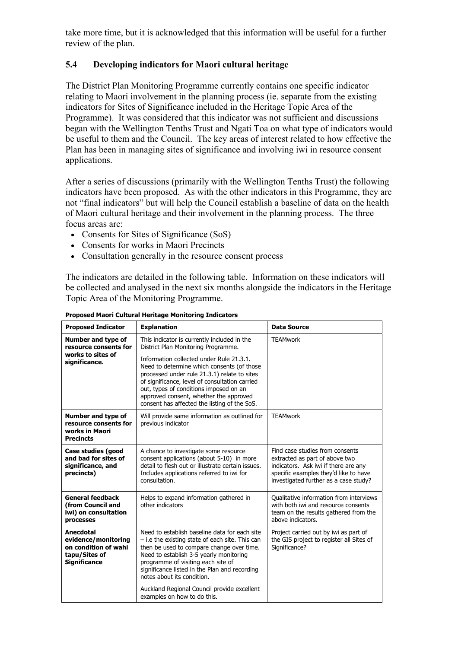take more time, but it is acknowledged that this information will be useful for a further review of the plan.

### **5.4 Developing indicators for Maori cultural heritage**

The District Plan Monitoring Programme currently contains one specific indicator relating to Maori involvement in the planning process (ie. separate from the existing indicators for Sites of Significance included in the Heritage Topic Area of the Programme). It was considered that this indicator was not sufficient and discussions began with the Wellington Tenths Trust and Ngati Toa on what type of indicators would be useful to them and the Council. The key areas of interest related to how effective the Plan has been in managing sites of significance and involving iwi in resource consent applications.

After a series of discussions (primarily with the Wellington Tenths Trust) the following indicators have been proposed. As with the other indicators in this Programme, they are not "final indicators" but will help the Council establish a baseline of data on the health of Maori cultural heritage and their involvement in the planning process. The three focus areas are:

- Consents for Sites of Significance (SoS)
- Consents for works in Maori Precincts
- Consultation generally in the resource consent process

The indicators are detailed in the following table. Information on these indicators will be collected and analysed in the next six months alongside the indicators in the Heritage Topic Area of the Monitoring Programme.

| <b>Proposed Indicator</b>                                                                        | <b>Explanation</b>                                                                                                                                                                                                                                                                                                           | <b>Data Source</b>                                                                                                                                                                          |
|--------------------------------------------------------------------------------------------------|------------------------------------------------------------------------------------------------------------------------------------------------------------------------------------------------------------------------------------------------------------------------------------------------------------------------------|---------------------------------------------------------------------------------------------------------------------------------------------------------------------------------------------|
| Number and type of<br>resource consents for                                                      | This indicator is currently included in the<br>District Plan Monitoring Programme.                                                                                                                                                                                                                                           | <b>TEAMwork</b>                                                                                                                                                                             |
| works to sites of<br>significance.                                                               | Information collected under Rule 21.3.1.<br>Need to determine which consents (of those<br>processed under rule 21.3.1) relate to sites<br>of significance, level of consultation carried<br>out, types of conditions imposed on an<br>approved consent, whether the approved<br>consent has affected the listing of the SoS. |                                                                                                                                                                                             |
| Number and type of<br>resource consents for<br>works in Maori<br><b>Precincts</b>                | Will provide same information as outlined for<br>previous indicator                                                                                                                                                                                                                                                          | <b>TEAMwork</b>                                                                                                                                                                             |
| Case studies (good<br>and bad for sites of<br>significance, and<br>precincts)                    | A chance to investigate some resource<br>consent applications (about 5-10) in more<br>detail to flesh out or illustrate certain issues.<br>Includes applications referred to iwi for<br>consultation.                                                                                                                        | Find case studies from consents<br>extracted as part of above two<br>indicators. Ask iwi if there are any<br>specific examples they'd like to have<br>investigated further as a case study? |
| <b>General feedback</b><br>(from Council and<br>iwi) on consultation<br>processes                | Helps to expand information gathered in<br>other indicators                                                                                                                                                                                                                                                                  | Qualitative information from interviews<br>with both iwi and resource consents<br>team on the results gathered from the<br>above indicators.                                                |
| Anecdotal<br>evidence/monitoring<br>on condition of wahi<br>tapu/Sites of<br><b>Significance</b> | Need to establish baseline data for each site<br>- i.e the existing state of each site. This can<br>then be used to compare change over time.<br>Need to establish 3-5 yearly monitoring<br>programme of visiting each site of<br>significance listed in the Plan and recording<br>notes about its condition.                | Project carried out by iwi as part of<br>the GIS project to register all Sites of<br>Significance?                                                                                          |
|                                                                                                  | Auckland Regional Council provide excellent<br>examples on how to do this.                                                                                                                                                                                                                                                   |                                                                                                                                                                                             |

**Proposed Maori Cultural Heritage Monitoring Indicators**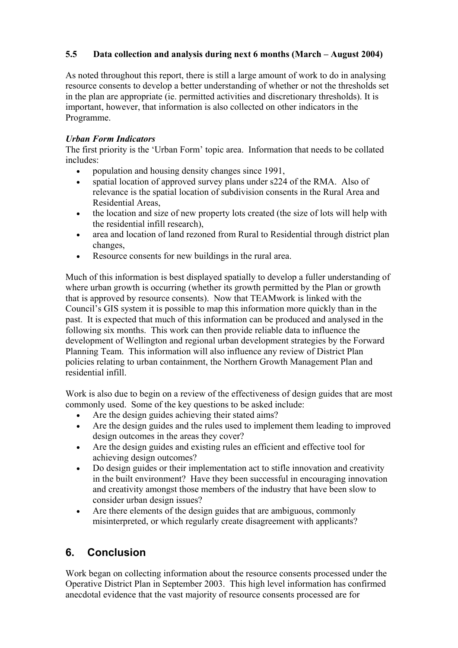## **5.5 Data collection and analysis during next 6 months (March – August 2004)**

As noted throughout this report, there is still a large amount of work to do in analysing resource consents to develop a better understanding of whether or not the thresholds set in the plan are appropriate (ie. permitted activities and discretionary thresholds). It is important, however, that information is also collected on other indicators in the Programme.

#### *Urban Form Indicators*

The first priority is the 'Urban Form' topic area. Information that needs to be collated includes:

- population and housing density changes since 1991,
- spatial location of approved survey plans under s224 of the RMA. Also of relevance is the spatial location of subdivision consents in the Rural Area and Residential Areas,
- the location and size of new property lots created (the size of lots will help with the residential infill research),
- area and location of land rezoned from Rural to Residential through district plan changes,
- Resource consents for new buildings in the rural area.

Much of this information is best displayed spatially to develop a fuller understanding of where urban growth is occurring (whether its growth permitted by the Plan or growth that is approved by resource consents). Now that TEAMwork is linked with the Council's GIS system it is possible to map this information more quickly than in the past. It is expected that much of this information can be produced and analysed in the following six months. This work can then provide reliable data to influence the development of Wellington and regional urban development strategies by the Forward Planning Team. This information will also influence any review of District Plan policies relating to urban containment, the Northern Growth Management Plan and residential infill.

Work is also due to begin on a review of the effectiveness of design guides that are most commonly used. Some of the key questions to be asked include:

- Are the design guides achieving their stated aims?
- Are the design guides and the rules used to implement them leading to improved design outcomes in the areas they cover?
- Are the design guides and existing rules an efficient and effective tool for achieving design outcomes?
- Do design guides or their implementation act to stifle innovation and creativity in the built environment? Have they been successful in encouraging innovation and creativity amongst those members of the industry that have been slow to consider urban design issues?
- Are there elements of the design guides that are ambiguous, commonly misinterpreted, or which regularly create disagreement with applicants?

## **6. Conclusion**

Work began on collecting information about the resource consents processed under the Operative District Plan in September 2003. This high level information has confirmed anecdotal evidence that the vast majority of resource consents processed are for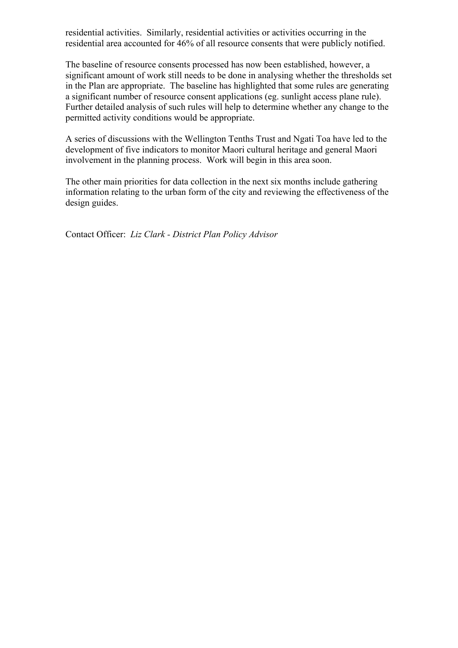residential activities. Similarly, residential activities or activities occurring in the residential area accounted for 46% of all resource consents that were publicly notified.

The baseline of resource consents processed has now been established, however, a significant amount of work still needs to be done in analysing whether the thresholds set in the Plan are appropriate. The baseline has highlighted that some rules are generating a significant number of resource consent applications (eg. sunlight access plane rule). Further detailed analysis of such rules will help to determine whether any change to the permitted activity conditions would be appropriate.

A series of discussions with the Wellington Tenths Trust and Ngati Toa have led to the development of five indicators to monitor Maori cultural heritage and general Maori involvement in the planning process. Work will begin in this area soon.

The other main priorities for data collection in the next six months include gathering information relating to the urban form of the city and reviewing the effectiveness of the design guides.

Contact Officer: *Liz Clark - District Plan Policy Advisor*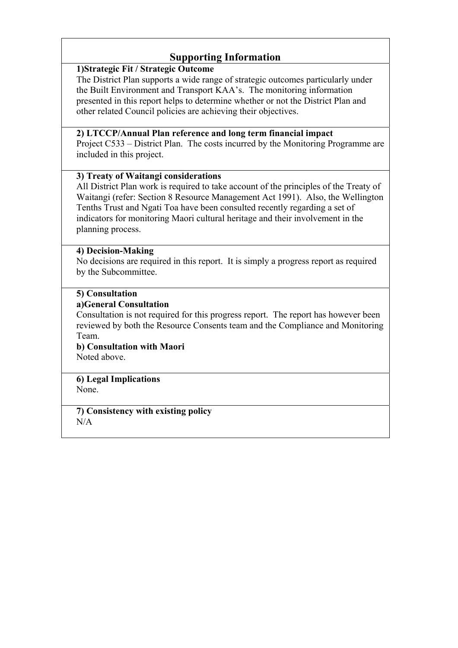## **Supporting Information**

### **1)Strategic Fit / Strategic Outcome**

The District Plan supports a wide range of strategic outcomes particularly under the Built Environment and Transport KAA's. The monitoring information presented in this report helps to determine whether or not the District Plan and other related Council policies are achieving their objectives.

## **2) LTCCP/Annual Plan reference and long term financial impact**

Project C533 – District Plan. The costs incurred by the Monitoring Programme are included in this project.

### **3) Treaty of Waitangi considerations**

All District Plan work is required to take account of the principles of the Treaty of Waitangi (refer: Section 8 Resource Management Act 1991). Also, the Wellington Tenths Trust and Ngati Toa have been consulted recently regarding a set of indicators for monitoring Maori cultural heritage and their involvement in the planning process.

#### **4) Decision-Making**

No decisions are required in this report. It is simply a progress report as required by the Subcommittee.

### **5) Consultation**

#### **a)General Consultation**

Consultation is not required for this progress report. The report has however been reviewed by both the Resource Consents team and the Compliance and Monitoring Team.

**b) Consultation with Maori**  Noted above.

#### **6) Legal Implications**  None.

**7) Consistency with existing policy**  N/A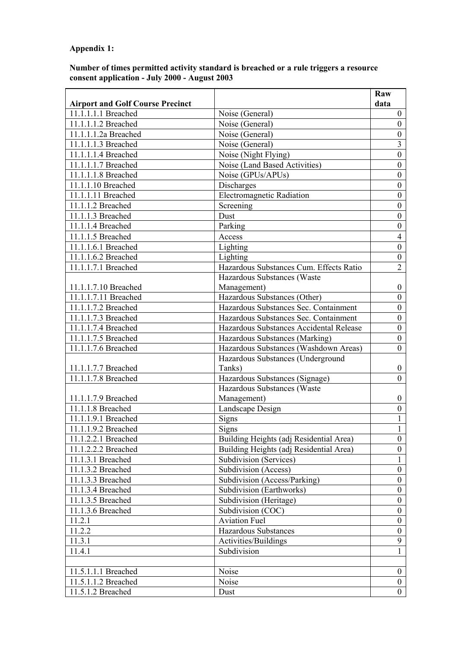## **Appendix 1:**

#### **Number of times permitted activity standard is breached or a rule triggers a resource consent application - July 2000 - August 2003**

| <b>Airport and Golf Course Precinct</b><br>data<br>11.1.1.1.1 Breached<br>Noise (General)<br>$\mathbf{0}$<br>11.1.1.1.2 Breached<br>$\boldsymbol{0}$<br>Noise (General)<br>11.1.1.1.2a Breached<br>Noise (General)<br>$\boldsymbol{0}$<br>$\overline{3}$<br>11.1.1.1.3 Breached<br>Noise (General)<br>$\boldsymbol{0}$<br>11.1.1.1.4 Breached<br>Noise (Night Flying)<br>Noise (Land Based Activities)<br>$\boldsymbol{0}$<br>11.1.1.1.7 Breached<br>11.1.1.1.8 Breached<br>Noise (GPUs/APUs)<br>$\boldsymbol{0}$<br>11.1.1.10 Breached<br>Discharges<br>$\boldsymbol{0}$<br>11.1.1.11 Breached<br><b>Electromagnetic Radiation</b><br>$\boldsymbol{0}$<br>Screening<br>$\boldsymbol{0}$<br>11.1.1.2 Breached<br>$\boldsymbol{0}$<br>Dust<br>11.1.1.3 Breached<br>Parking<br>11.1.1.4 Breached<br>$\boldsymbol{0}$<br>11.1.1.5 Breached<br>$\overline{4}$<br>Access<br>$\boldsymbol{0}$<br>11.1.1.6.1 Breached<br>Lighting |                     |          | Raw              |
|----------------------------------------------------------------------------------------------------------------------------------------------------------------------------------------------------------------------------------------------------------------------------------------------------------------------------------------------------------------------------------------------------------------------------------------------------------------------------------------------------------------------------------------------------------------------------------------------------------------------------------------------------------------------------------------------------------------------------------------------------------------------------------------------------------------------------------------------------------------------------------------------------------------------------|---------------------|----------|------------------|
|                                                                                                                                                                                                                                                                                                                                                                                                                                                                                                                                                                                                                                                                                                                                                                                                                                                                                                                            |                     |          |                  |
|                                                                                                                                                                                                                                                                                                                                                                                                                                                                                                                                                                                                                                                                                                                                                                                                                                                                                                                            |                     |          |                  |
|                                                                                                                                                                                                                                                                                                                                                                                                                                                                                                                                                                                                                                                                                                                                                                                                                                                                                                                            |                     |          |                  |
|                                                                                                                                                                                                                                                                                                                                                                                                                                                                                                                                                                                                                                                                                                                                                                                                                                                                                                                            |                     |          |                  |
|                                                                                                                                                                                                                                                                                                                                                                                                                                                                                                                                                                                                                                                                                                                                                                                                                                                                                                                            |                     |          |                  |
|                                                                                                                                                                                                                                                                                                                                                                                                                                                                                                                                                                                                                                                                                                                                                                                                                                                                                                                            |                     |          |                  |
|                                                                                                                                                                                                                                                                                                                                                                                                                                                                                                                                                                                                                                                                                                                                                                                                                                                                                                                            |                     |          |                  |
|                                                                                                                                                                                                                                                                                                                                                                                                                                                                                                                                                                                                                                                                                                                                                                                                                                                                                                                            |                     |          |                  |
|                                                                                                                                                                                                                                                                                                                                                                                                                                                                                                                                                                                                                                                                                                                                                                                                                                                                                                                            |                     |          |                  |
|                                                                                                                                                                                                                                                                                                                                                                                                                                                                                                                                                                                                                                                                                                                                                                                                                                                                                                                            |                     |          |                  |
|                                                                                                                                                                                                                                                                                                                                                                                                                                                                                                                                                                                                                                                                                                                                                                                                                                                                                                                            |                     |          |                  |
|                                                                                                                                                                                                                                                                                                                                                                                                                                                                                                                                                                                                                                                                                                                                                                                                                                                                                                                            |                     |          |                  |
|                                                                                                                                                                                                                                                                                                                                                                                                                                                                                                                                                                                                                                                                                                                                                                                                                                                                                                                            |                     |          |                  |
|                                                                                                                                                                                                                                                                                                                                                                                                                                                                                                                                                                                                                                                                                                                                                                                                                                                                                                                            |                     |          |                  |
|                                                                                                                                                                                                                                                                                                                                                                                                                                                                                                                                                                                                                                                                                                                                                                                                                                                                                                                            |                     |          |                  |
|                                                                                                                                                                                                                                                                                                                                                                                                                                                                                                                                                                                                                                                                                                                                                                                                                                                                                                                            | 11.1.1.6.2 Breached | Lighting | $\boldsymbol{0}$ |
| $\overline{2}$<br>11.1.1.7.1 Breached<br>Hazardous Substances Cum. Effects Ratio                                                                                                                                                                                                                                                                                                                                                                                                                                                                                                                                                                                                                                                                                                                                                                                                                                           |                     |          |                  |
| Hazardous Substances (Waste                                                                                                                                                                                                                                                                                                                                                                                                                                                                                                                                                                                                                                                                                                                                                                                                                                                                                                |                     |          |                  |
| 11.1.1.7.10 Breached<br>Management)<br>$\overline{0}$                                                                                                                                                                                                                                                                                                                                                                                                                                                                                                                                                                                                                                                                                                                                                                                                                                                                      |                     |          |                  |
| 11.1.1.7.11 Breached<br>Hazardous Substances (Other)<br>$\overline{0}$                                                                                                                                                                                                                                                                                                                                                                                                                                                                                                                                                                                                                                                                                                                                                                                                                                                     |                     |          |                  |
| 11.1.1.7.2 Breached<br>Hazardous Substances Sec. Containment<br>$\boldsymbol{0}$                                                                                                                                                                                                                                                                                                                                                                                                                                                                                                                                                                                                                                                                                                                                                                                                                                           |                     |          |                  |
| 11.1.1.7.3 Breached<br>Hazardous Substances Sec. Containment<br>$\boldsymbol{0}$                                                                                                                                                                                                                                                                                                                                                                                                                                                                                                                                                                                                                                                                                                                                                                                                                                           |                     |          |                  |
| 11.1.1.7.4 Breached<br>Hazardous Substances Accidental Release<br>$\overline{0}$                                                                                                                                                                                                                                                                                                                                                                                                                                                                                                                                                                                                                                                                                                                                                                                                                                           |                     |          |                  |
| 11.1.1.7.5 Breached<br>$\boldsymbol{0}$<br>Hazardous Substances (Marking)                                                                                                                                                                                                                                                                                                                                                                                                                                                                                                                                                                                                                                                                                                                                                                                                                                                  |                     |          |                  |
| 11.1.1.7.6 Breached<br>Hazardous Substances (Washdown Areas)<br>$\boldsymbol{0}$                                                                                                                                                                                                                                                                                                                                                                                                                                                                                                                                                                                                                                                                                                                                                                                                                                           |                     |          |                  |
| Hazardous Substances (Underground                                                                                                                                                                                                                                                                                                                                                                                                                                                                                                                                                                                                                                                                                                                                                                                                                                                                                          |                     |          |                  |
| Tanks)<br>11.1.1.7.7 Breached<br>$\overline{0}$                                                                                                                                                                                                                                                                                                                                                                                                                                                                                                                                                                                                                                                                                                                                                                                                                                                                            |                     |          |                  |
| 11.1.1.7.8 Breached<br>Hazardous Substances (Signage)<br>$\theta$                                                                                                                                                                                                                                                                                                                                                                                                                                                                                                                                                                                                                                                                                                                                                                                                                                                          |                     |          |                  |
| Hazardous Substances (Waste                                                                                                                                                                                                                                                                                                                                                                                                                                                                                                                                                                                                                                                                                                                                                                                                                                                                                                |                     |          |                  |
| 11.1.1.7.9 Breached<br>Management)<br>$\boldsymbol{0}$                                                                                                                                                                                                                                                                                                                                                                                                                                                                                                                                                                                                                                                                                                                                                                                                                                                                     |                     |          |                  |
| 11.1.1.8 Breached<br>Landscape Design<br>$\boldsymbol{0}$                                                                                                                                                                                                                                                                                                                                                                                                                                                                                                                                                                                                                                                                                                                                                                                                                                                                  |                     |          |                  |
| 11.1.1.9.1 Breached<br><b>Signs</b><br>1                                                                                                                                                                                                                                                                                                                                                                                                                                                                                                                                                                                                                                                                                                                                                                                                                                                                                   |                     |          |                  |
| 11.1.1.9.2 Breached<br>Signs<br>1                                                                                                                                                                                                                                                                                                                                                                                                                                                                                                                                                                                                                                                                                                                                                                                                                                                                                          |                     |          |                  |
| Building Heights (adj Residential Area)<br>11.1.2.2.1 Breached<br>$\mathbf{0}$                                                                                                                                                                                                                                                                                                                                                                                                                                                                                                                                                                                                                                                                                                                                                                                                                                             |                     |          |                  |
| Building Heights (adj Residential Area)<br>11.1.2.2.2 Breached<br>$\boldsymbol{0}$                                                                                                                                                                                                                                                                                                                                                                                                                                                                                                                                                                                                                                                                                                                                                                                                                                         |                     |          |                  |
| Subdivision (Services)<br>11.1.3.1 Breached<br>1                                                                                                                                                                                                                                                                                                                                                                                                                                                                                                                                                                                                                                                                                                                                                                                                                                                                           |                     |          |                  |
| 11.1.3.2 Breached<br>Subdivision (Access)<br>$\boldsymbol{0}$                                                                                                                                                                                                                                                                                                                                                                                                                                                                                                                                                                                                                                                                                                                                                                                                                                                              |                     |          |                  |
| Subdivision (Access/Parking)<br>11.1.3.3 Breached<br>$\overline{0}$                                                                                                                                                                                                                                                                                                                                                                                                                                                                                                                                                                                                                                                                                                                                                                                                                                                        |                     |          |                  |
| Subdivision (Earthworks)<br>11.1.3.4 Breached<br>$\boldsymbol{0}$                                                                                                                                                                                                                                                                                                                                                                                                                                                                                                                                                                                                                                                                                                                                                                                                                                                          |                     |          |                  |
| 11.1.3.5 Breached<br>Subdivision (Heritage)<br>$\boldsymbol{0}$                                                                                                                                                                                                                                                                                                                                                                                                                                                                                                                                                                                                                                                                                                                                                                                                                                                            |                     |          |                  |
| Subdivision (COC)<br>11.1.3.6 Breached<br>$\boldsymbol{0}$                                                                                                                                                                                                                                                                                                                                                                                                                                                                                                                                                                                                                                                                                                                                                                                                                                                                 |                     |          |                  |
| 11.2.1<br><b>Aviation Fuel</b><br>$\overline{0}$                                                                                                                                                                                                                                                                                                                                                                                                                                                                                                                                                                                                                                                                                                                                                                                                                                                                           |                     |          |                  |
| 11.2.2<br><b>Hazardous Substances</b><br>$\overline{0}$                                                                                                                                                                                                                                                                                                                                                                                                                                                                                                                                                                                                                                                                                                                                                                                                                                                                    |                     |          |                  |
| 11.3.1<br>Activities/Buildings<br>9                                                                                                                                                                                                                                                                                                                                                                                                                                                                                                                                                                                                                                                                                                                                                                                                                                                                                        |                     |          |                  |
| Subdivision<br>11.4.1<br>$\mathbf{1}$                                                                                                                                                                                                                                                                                                                                                                                                                                                                                                                                                                                                                                                                                                                                                                                                                                                                                      |                     |          |                  |
|                                                                                                                                                                                                                                                                                                                                                                                                                                                                                                                                                                                                                                                                                                                                                                                                                                                                                                                            |                     |          |                  |
| 11.5.1.1.1 Breached<br>Noise<br>$\overline{0}$                                                                                                                                                                                                                                                                                                                                                                                                                                                                                                                                                                                                                                                                                                                                                                                                                                                                             |                     |          |                  |
| 11.5.1.1.2 Breached<br>Noise<br>$\overline{0}$                                                                                                                                                                                                                                                                                                                                                                                                                                                                                                                                                                                                                                                                                                                                                                                                                                                                             |                     |          |                  |
| 11.5.1.2 Breached<br>$\boldsymbol{0}$<br>Dust                                                                                                                                                                                                                                                                                                                                                                                                                                                                                                                                                                                                                                                                                                                                                                                                                                                                              |                     |          |                  |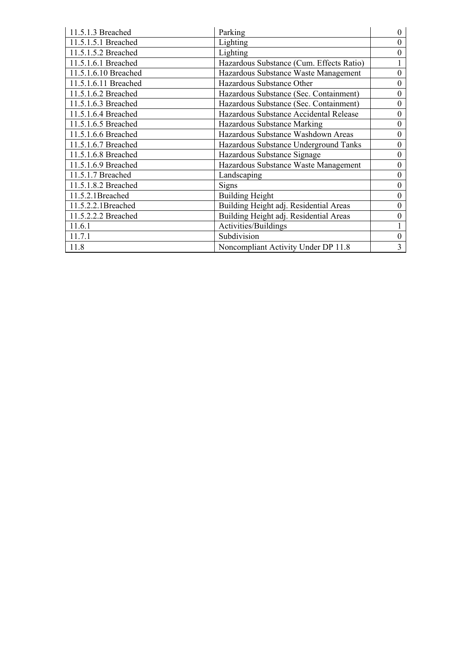| 11.5.1.3 Breached    | Parking                                  | 0 |
|----------------------|------------------------------------------|---|
| 11.5.1.5.1 Breached  | Lighting                                 | 0 |
| 11.5.1.5.2 Breached  | Lighting                                 | 0 |
| 11.5.1.6.1 Breached  | Hazardous Substance (Cum. Effects Ratio) |   |
| 11.5.1.6.10 Breached | Hazardous Substance Waste Management     | 0 |
| 11.5.1.6.11 Breached | Hazardous Substance Other                | 0 |
| 11.5.1.6.2 Breached  | Hazardous Substance (Sec. Containment)   | 0 |
| 11.5.1.6.3 Breached  | Hazardous Substance (Sec. Containment)   | 0 |
| 11.5.1.6.4 Breached  | Hazardous Substance Accidental Release   | 0 |
| 11.5.1.6.5 Breached  | Hazardous Substance Marking              | 0 |
| 11.5.1.6.6 Breached  | Hazardous Substance Washdown Areas       | 0 |
| 11.5.1.6.7 Breached  | Hazardous Substance Underground Tanks    | 0 |
| 11.5.1.6.8 Breached  | Hazardous Substance Signage              | 0 |
| 11.5.1.6.9 Breached  | Hazardous Substance Waste Management     | 0 |
| 11.5.1.7 Breached    | Landscaping                              | 0 |
| 11.5.1.8.2 Breached  | Signs                                    | 0 |
| 11.5.2.1Breached     | <b>Building Height</b>                   | 0 |
| 11.5.2.2.1Breached   | Building Height adj. Residential Areas   | 0 |
| 11.5.2.2.2 Breached  | Building Height adj. Residential Areas   | 0 |
| 11.6.1               | Activities/Buildings                     |   |
| 11.7.1               | Subdivision                              | 0 |
| 11.8                 | Noncompliant Activity Under DP 11.8      | 3 |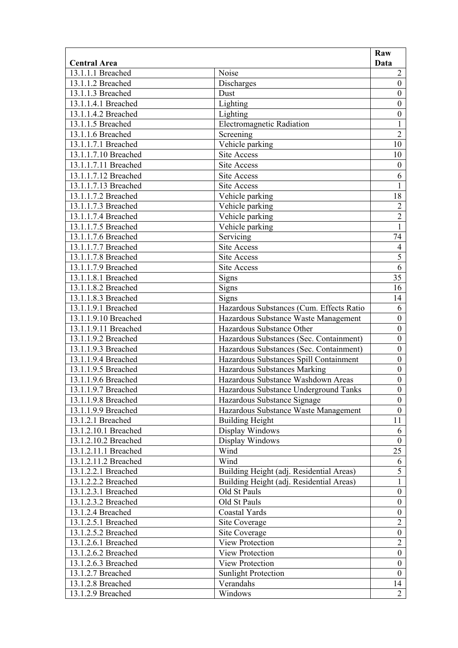| Noise<br>$\overline{2}$<br>13.1.1.1 Breached<br>Discharges<br>$\boldsymbol{0}$<br>13.1.1.2 Breached<br>13.1.1.3 Breached<br>Dust<br>$\boldsymbol{0}$<br>Lighting<br>13.1.1.4.1 Breached<br>$\boldsymbol{0}$<br>Lighting<br>$\boldsymbol{0}$<br>13.1.1.4.2 Breached<br>$\mathbf{1}$<br>13.1.1.5 Breached<br><b>Electromagnetic Radiation</b><br>$\overline{2}$<br>13.1.1.6 Breached<br>Screening<br>13.1.1.7.1 Breached<br>Vehicle parking<br>10<br>13.1.1.7.10 Breached<br><b>Site Access</b><br>10<br>$\boldsymbol{0}$<br>13.1.1.7.11 Breached<br><b>Site Access</b><br>13.1.1.7.12 Breached<br>6<br>Site Access<br>13.1.1.7.13 Breached<br><b>Site Access</b><br>1<br>18<br>13.1.1.7.2 Breached<br>Vehicle parking<br>$\overline{2}$<br>Vehicle parking<br>13.1.1.7.3 Breached<br>$\overline{2}$<br>Vehicle parking<br>13.1.1.7.4 Breached<br>13.1.1.7.5 Breached<br>$\mathbf{1}$<br>Vehicle parking<br>Servicing<br>74<br>13.1.1.7.6 Breached<br>13.1.1.7.7 Breached<br>$\overline{4}$<br><b>Site Access</b><br>$\overline{5}$<br>13.1.1.7.8 Breached<br><b>Site Access</b><br>$\overline{6}$<br>13.1.1.7.9 Breached<br><b>Site Access</b><br>35<br>13.1.1.8.1 Breached<br>Signs<br>13.1.1.8.2 Breached<br>Signs<br>16<br>13.1.1.8.3 Breached<br>Signs<br>14<br>13.1.1.9.1 Breached<br>6<br>Hazardous Substances (Cum. Effects Ratio<br>$\boldsymbol{0}$<br>Hazardous Substance Waste Management<br>13.1.1.9.10 Breached<br>13.1.1.9.11 Breached<br>Hazardous Substance Other<br>$\boldsymbol{0}$<br>13.1.1.9.2 Breached<br>Hazardous Substances (Sec. Containment)<br>$\boldsymbol{0}$<br>$\boldsymbol{0}$<br>13.1.1.9.3 Breached<br>Hazardous Substances (Sec. Containment)<br>Hazardous Substances Spill Containment<br>$\boldsymbol{0}$<br>13.1.1.9.4 Breached<br>13.1.1.9.5 Breached<br>Hazardous Substances Marking<br>$\boldsymbol{0}$<br>Hazardous Substance Washdown Areas<br>13.1.1.9.6 Breached<br>$\boldsymbol{0}$<br>$\overline{0}$<br>13.1.1.9.7 Breached<br>Hazardous Substance Underground Tanks<br>Hazardous Substance Signage<br>13.1.1.9.8 Breached<br>$\overline{0}$<br>13.1.1.9.9 Breached<br>Hazardous Substance Waste Management<br>$\boldsymbol{0}$<br><b>Building Height</b><br>13.1.2.1 Breached<br>11<br>13.1.2.10.1 Breached<br>Display Windows<br>6<br>13.1.2.10.2 Breached<br>Display Windows<br>$\mathbf{0}$<br>25<br>Wind<br>13.1.2.11.1 Breached<br>13.1.2.11.2 Breached<br>Wind<br>6<br>5<br>13.1.2.2.1 Breached<br>Building Height (adj. Residential Areas)<br>13.1.2.2.2 Breached<br>Building Height (adj. Residential Areas)<br>$\mathbf{1}$<br>13.1.2.3.1 Breached<br>Old St Pauls<br>$\boldsymbol{0}$<br>$\boldsymbol{0}$<br>Old St Pauls<br>13.1.2.3.2 Breached<br>Coastal Yards<br>$\boldsymbol{0}$<br>13.1.2.4 Breached<br>$\overline{2}$<br>13.1.2.5.1 Breached<br>Site Coverage<br>$\boldsymbol{0}$<br>13.1.2.5.2 Breached<br>Site Coverage<br>$\overline{2}$<br>13.1.2.6.1 Breached<br>View Protection<br>$\boldsymbol{0}$<br><b>View Protection</b><br>13.1.2.6.2 Breached<br><b>View Protection</b><br>$\boldsymbol{0}$<br>13.1.2.6.3 Breached<br><b>Sunlight Protection</b><br>$\boldsymbol{0}$<br>13.1.2.7 Breached<br>13.1.2.8 Breached<br>14<br>Verandahs<br>$\overline{2}$<br>Windows<br>13.1.2.9 Breached |                     | Raw  |
|-------------------------------------------------------------------------------------------------------------------------------------------------------------------------------------------------------------------------------------------------------------------------------------------------------------------------------------------------------------------------------------------------------------------------------------------------------------------------------------------------------------------------------------------------------------------------------------------------------------------------------------------------------------------------------------------------------------------------------------------------------------------------------------------------------------------------------------------------------------------------------------------------------------------------------------------------------------------------------------------------------------------------------------------------------------------------------------------------------------------------------------------------------------------------------------------------------------------------------------------------------------------------------------------------------------------------------------------------------------------------------------------------------------------------------------------------------------------------------------------------------------------------------------------------------------------------------------------------------------------------------------------------------------------------------------------------------------------------------------------------------------------------------------------------------------------------------------------------------------------------------------------------------------------------------------------------------------------------------------------------------------------------------------------------------------------------------------------------------------------------------------------------------------------------------------------------------------------------------------------------------------------------------------------------------------------------------------------------------------------------------------------------------------------------------------------------------------------------------------------------------------------------------------------------------------------------------------------------------------------------------------------------------------------------------------------------------------------------------------------------------------------------------------------------------------------------------------------------------------------------------------------------------------------------------------------------------------------------------------------------------------------------------------------------------------------------------------------------------------------------------------------------------------------------------------------------------------------------------------------------------------------|---------------------|------|
|                                                                                                                                                                                                                                                                                                                                                                                                                                                                                                                                                                                                                                                                                                                                                                                                                                                                                                                                                                                                                                                                                                                                                                                                                                                                                                                                                                                                                                                                                                                                                                                                                                                                                                                                                                                                                                                                                                                                                                                                                                                                                                                                                                                                                                                                                                                                                                                                                                                                                                                                                                                                                                                                                                                                                                                                                                                                                                                                                                                                                                                                                                                                                                                                                                                                   | <b>Central Area</b> | Data |
|                                                                                                                                                                                                                                                                                                                                                                                                                                                                                                                                                                                                                                                                                                                                                                                                                                                                                                                                                                                                                                                                                                                                                                                                                                                                                                                                                                                                                                                                                                                                                                                                                                                                                                                                                                                                                                                                                                                                                                                                                                                                                                                                                                                                                                                                                                                                                                                                                                                                                                                                                                                                                                                                                                                                                                                                                                                                                                                                                                                                                                                                                                                                                                                                                                                                   |                     |      |
|                                                                                                                                                                                                                                                                                                                                                                                                                                                                                                                                                                                                                                                                                                                                                                                                                                                                                                                                                                                                                                                                                                                                                                                                                                                                                                                                                                                                                                                                                                                                                                                                                                                                                                                                                                                                                                                                                                                                                                                                                                                                                                                                                                                                                                                                                                                                                                                                                                                                                                                                                                                                                                                                                                                                                                                                                                                                                                                                                                                                                                                                                                                                                                                                                                                                   |                     |      |
|                                                                                                                                                                                                                                                                                                                                                                                                                                                                                                                                                                                                                                                                                                                                                                                                                                                                                                                                                                                                                                                                                                                                                                                                                                                                                                                                                                                                                                                                                                                                                                                                                                                                                                                                                                                                                                                                                                                                                                                                                                                                                                                                                                                                                                                                                                                                                                                                                                                                                                                                                                                                                                                                                                                                                                                                                                                                                                                                                                                                                                                                                                                                                                                                                                                                   |                     |      |
|                                                                                                                                                                                                                                                                                                                                                                                                                                                                                                                                                                                                                                                                                                                                                                                                                                                                                                                                                                                                                                                                                                                                                                                                                                                                                                                                                                                                                                                                                                                                                                                                                                                                                                                                                                                                                                                                                                                                                                                                                                                                                                                                                                                                                                                                                                                                                                                                                                                                                                                                                                                                                                                                                                                                                                                                                                                                                                                                                                                                                                                                                                                                                                                                                                                                   |                     |      |
|                                                                                                                                                                                                                                                                                                                                                                                                                                                                                                                                                                                                                                                                                                                                                                                                                                                                                                                                                                                                                                                                                                                                                                                                                                                                                                                                                                                                                                                                                                                                                                                                                                                                                                                                                                                                                                                                                                                                                                                                                                                                                                                                                                                                                                                                                                                                                                                                                                                                                                                                                                                                                                                                                                                                                                                                                                                                                                                                                                                                                                                                                                                                                                                                                                                                   |                     |      |
|                                                                                                                                                                                                                                                                                                                                                                                                                                                                                                                                                                                                                                                                                                                                                                                                                                                                                                                                                                                                                                                                                                                                                                                                                                                                                                                                                                                                                                                                                                                                                                                                                                                                                                                                                                                                                                                                                                                                                                                                                                                                                                                                                                                                                                                                                                                                                                                                                                                                                                                                                                                                                                                                                                                                                                                                                                                                                                                                                                                                                                                                                                                                                                                                                                                                   |                     |      |
|                                                                                                                                                                                                                                                                                                                                                                                                                                                                                                                                                                                                                                                                                                                                                                                                                                                                                                                                                                                                                                                                                                                                                                                                                                                                                                                                                                                                                                                                                                                                                                                                                                                                                                                                                                                                                                                                                                                                                                                                                                                                                                                                                                                                                                                                                                                                                                                                                                                                                                                                                                                                                                                                                                                                                                                                                                                                                                                                                                                                                                                                                                                                                                                                                                                                   |                     |      |
|                                                                                                                                                                                                                                                                                                                                                                                                                                                                                                                                                                                                                                                                                                                                                                                                                                                                                                                                                                                                                                                                                                                                                                                                                                                                                                                                                                                                                                                                                                                                                                                                                                                                                                                                                                                                                                                                                                                                                                                                                                                                                                                                                                                                                                                                                                                                                                                                                                                                                                                                                                                                                                                                                                                                                                                                                                                                                                                                                                                                                                                                                                                                                                                                                                                                   |                     |      |
|                                                                                                                                                                                                                                                                                                                                                                                                                                                                                                                                                                                                                                                                                                                                                                                                                                                                                                                                                                                                                                                                                                                                                                                                                                                                                                                                                                                                                                                                                                                                                                                                                                                                                                                                                                                                                                                                                                                                                                                                                                                                                                                                                                                                                                                                                                                                                                                                                                                                                                                                                                                                                                                                                                                                                                                                                                                                                                                                                                                                                                                                                                                                                                                                                                                                   |                     |      |
|                                                                                                                                                                                                                                                                                                                                                                                                                                                                                                                                                                                                                                                                                                                                                                                                                                                                                                                                                                                                                                                                                                                                                                                                                                                                                                                                                                                                                                                                                                                                                                                                                                                                                                                                                                                                                                                                                                                                                                                                                                                                                                                                                                                                                                                                                                                                                                                                                                                                                                                                                                                                                                                                                                                                                                                                                                                                                                                                                                                                                                                                                                                                                                                                                                                                   |                     |      |
|                                                                                                                                                                                                                                                                                                                                                                                                                                                                                                                                                                                                                                                                                                                                                                                                                                                                                                                                                                                                                                                                                                                                                                                                                                                                                                                                                                                                                                                                                                                                                                                                                                                                                                                                                                                                                                                                                                                                                                                                                                                                                                                                                                                                                                                                                                                                                                                                                                                                                                                                                                                                                                                                                                                                                                                                                                                                                                                                                                                                                                                                                                                                                                                                                                                                   |                     |      |
|                                                                                                                                                                                                                                                                                                                                                                                                                                                                                                                                                                                                                                                                                                                                                                                                                                                                                                                                                                                                                                                                                                                                                                                                                                                                                                                                                                                                                                                                                                                                                                                                                                                                                                                                                                                                                                                                                                                                                                                                                                                                                                                                                                                                                                                                                                                                                                                                                                                                                                                                                                                                                                                                                                                                                                                                                                                                                                                                                                                                                                                                                                                                                                                                                                                                   |                     |      |
|                                                                                                                                                                                                                                                                                                                                                                                                                                                                                                                                                                                                                                                                                                                                                                                                                                                                                                                                                                                                                                                                                                                                                                                                                                                                                                                                                                                                                                                                                                                                                                                                                                                                                                                                                                                                                                                                                                                                                                                                                                                                                                                                                                                                                                                                                                                                                                                                                                                                                                                                                                                                                                                                                                                                                                                                                                                                                                                                                                                                                                                                                                                                                                                                                                                                   |                     |      |
|                                                                                                                                                                                                                                                                                                                                                                                                                                                                                                                                                                                                                                                                                                                                                                                                                                                                                                                                                                                                                                                                                                                                                                                                                                                                                                                                                                                                                                                                                                                                                                                                                                                                                                                                                                                                                                                                                                                                                                                                                                                                                                                                                                                                                                                                                                                                                                                                                                                                                                                                                                                                                                                                                                                                                                                                                                                                                                                                                                                                                                                                                                                                                                                                                                                                   |                     |      |
|                                                                                                                                                                                                                                                                                                                                                                                                                                                                                                                                                                                                                                                                                                                                                                                                                                                                                                                                                                                                                                                                                                                                                                                                                                                                                                                                                                                                                                                                                                                                                                                                                                                                                                                                                                                                                                                                                                                                                                                                                                                                                                                                                                                                                                                                                                                                                                                                                                                                                                                                                                                                                                                                                                                                                                                                                                                                                                                                                                                                                                                                                                                                                                                                                                                                   |                     |      |
|                                                                                                                                                                                                                                                                                                                                                                                                                                                                                                                                                                                                                                                                                                                                                                                                                                                                                                                                                                                                                                                                                                                                                                                                                                                                                                                                                                                                                                                                                                                                                                                                                                                                                                                                                                                                                                                                                                                                                                                                                                                                                                                                                                                                                                                                                                                                                                                                                                                                                                                                                                                                                                                                                                                                                                                                                                                                                                                                                                                                                                                                                                                                                                                                                                                                   |                     |      |
|                                                                                                                                                                                                                                                                                                                                                                                                                                                                                                                                                                                                                                                                                                                                                                                                                                                                                                                                                                                                                                                                                                                                                                                                                                                                                                                                                                                                                                                                                                                                                                                                                                                                                                                                                                                                                                                                                                                                                                                                                                                                                                                                                                                                                                                                                                                                                                                                                                                                                                                                                                                                                                                                                                                                                                                                                                                                                                                                                                                                                                                                                                                                                                                                                                                                   |                     |      |
|                                                                                                                                                                                                                                                                                                                                                                                                                                                                                                                                                                                                                                                                                                                                                                                                                                                                                                                                                                                                                                                                                                                                                                                                                                                                                                                                                                                                                                                                                                                                                                                                                                                                                                                                                                                                                                                                                                                                                                                                                                                                                                                                                                                                                                                                                                                                                                                                                                                                                                                                                                                                                                                                                                                                                                                                                                                                                                                                                                                                                                                                                                                                                                                                                                                                   |                     |      |
|                                                                                                                                                                                                                                                                                                                                                                                                                                                                                                                                                                                                                                                                                                                                                                                                                                                                                                                                                                                                                                                                                                                                                                                                                                                                                                                                                                                                                                                                                                                                                                                                                                                                                                                                                                                                                                                                                                                                                                                                                                                                                                                                                                                                                                                                                                                                                                                                                                                                                                                                                                                                                                                                                                                                                                                                                                                                                                                                                                                                                                                                                                                                                                                                                                                                   |                     |      |
|                                                                                                                                                                                                                                                                                                                                                                                                                                                                                                                                                                                                                                                                                                                                                                                                                                                                                                                                                                                                                                                                                                                                                                                                                                                                                                                                                                                                                                                                                                                                                                                                                                                                                                                                                                                                                                                                                                                                                                                                                                                                                                                                                                                                                                                                                                                                                                                                                                                                                                                                                                                                                                                                                                                                                                                                                                                                                                                                                                                                                                                                                                                                                                                                                                                                   |                     |      |
|                                                                                                                                                                                                                                                                                                                                                                                                                                                                                                                                                                                                                                                                                                                                                                                                                                                                                                                                                                                                                                                                                                                                                                                                                                                                                                                                                                                                                                                                                                                                                                                                                                                                                                                                                                                                                                                                                                                                                                                                                                                                                                                                                                                                                                                                                                                                                                                                                                                                                                                                                                                                                                                                                                                                                                                                                                                                                                                                                                                                                                                                                                                                                                                                                                                                   |                     |      |
|                                                                                                                                                                                                                                                                                                                                                                                                                                                                                                                                                                                                                                                                                                                                                                                                                                                                                                                                                                                                                                                                                                                                                                                                                                                                                                                                                                                                                                                                                                                                                                                                                                                                                                                                                                                                                                                                                                                                                                                                                                                                                                                                                                                                                                                                                                                                                                                                                                                                                                                                                                                                                                                                                                                                                                                                                                                                                                                                                                                                                                                                                                                                                                                                                                                                   |                     |      |
|                                                                                                                                                                                                                                                                                                                                                                                                                                                                                                                                                                                                                                                                                                                                                                                                                                                                                                                                                                                                                                                                                                                                                                                                                                                                                                                                                                                                                                                                                                                                                                                                                                                                                                                                                                                                                                                                                                                                                                                                                                                                                                                                                                                                                                                                                                                                                                                                                                                                                                                                                                                                                                                                                                                                                                                                                                                                                                                                                                                                                                                                                                                                                                                                                                                                   |                     |      |
|                                                                                                                                                                                                                                                                                                                                                                                                                                                                                                                                                                                                                                                                                                                                                                                                                                                                                                                                                                                                                                                                                                                                                                                                                                                                                                                                                                                                                                                                                                                                                                                                                                                                                                                                                                                                                                                                                                                                                                                                                                                                                                                                                                                                                                                                                                                                                                                                                                                                                                                                                                                                                                                                                                                                                                                                                                                                                                                                                                                                                                                                                                                                                                                                                                                                   |                     |      |
|                                                                                                                                                                                                                                                                                                                                                                                                                                                                                                                                                                                                                                                                                                                                                                                                                                                                                                                                                                                                                                                                                                                                                                                                                                                                                                                                                                                                                                                                                                                                                                                                                                                                                                                                                                                                                                                                                                                                                                                                                                                                                                                                                                                                                                                                                                                                                                                                                                                                                                                                                                                                                                                                                                                                                                                                                                                                                                                                                                                                                                                                                                                                                                                                                                                                   |                     |      |
|                                                                                                                                                                                                                                                                                                                                                                                                                                                                                                                                                                                                                                                                                                                                                                                                                                                                                                                                                                                                                                                                                                                                                                                                                                                                                                                                                                                                                                                                                                                                                                                                                                                                                                                                                                                                                                                                                                                                                                                                                                                                                                                                                                                                                                                                                                                                                                                                                                                                                                                                                                                                                                                                                                                                                                                                                                                                                                                                                                                                                                                                                                                                                                                                                                                                   |                     |      |
|                                                                                                                                                                                                                                                                                                                                                                                                                                                                                                                                                                                                                                                                                                                                                                                                                                                                                                                                                                                                                                                                                                                                                                                                                                                                                                                                                                                                                                                                                                                                                                                                                                                                                                                                                                                                                                                                                                                                                                                                                                                                                                                                                                                                                                                                                                                                                                                                                                                                                                                                                                                                                                                                                                                                                                                                                                                                                                                                                                                                                                                                                                                                                                                                                                                                   |                     |      |
|                                                                                                                                                                                                                                                                                                                                                                                                                                                                                                                                                                                                                                                                                                                                                                                                                                                                                                                                                                                                                                                                                                                                                                                                                                                                                                                                                                                                                                                                                                                                                                                                                                                                                                                                                                                                                                                                                                                                                                                                                                                                                                                                                                                                                                                                                                                                                                                                                                                                                                                                                                                                                                                                                                                                                                                                                                                                                                                                                                                                                                                                                                                                                                                                                                                                   |                     |      |
|                                                                                                                                                                                                                                                                                                                                                                                                                                                                                                                                                                                                                                                                                                                                                                                                                                                                                                                                                                                                                                                                                                                                                                                                                                                                                                                                                                                                                                                                                                                                                                                                                                                                                                                                                                                                                                                                                                                                                                                                                                                                                                                                                                                                                                                                                                                                                                                                                                                                                                                                                                                                                                                                                                                                                                                                                                                                                                                                                                                                                                                                                                                                                                                                                                                                   |                     |      |
|                                                                                                                                                                                                                                                                                                                                                                                                                                                                                                                                                                                                                                                                                                                                                                                                                                                                                                                                                                                                                                                                                                                                                                                                                                                                                                                                                                                                                                                                                                                                                                                                                                                                                                                                                                                                                                                                                                                                                                                                                                                                                                                                                                                                                                                                                                                                                                                                                                                                                                                                                                                                                                                                                                                                                                                                                                                                                                                                                                                                                                                                                                                                                                                                                                                                   |                     |      |
|                                                                                                                                                                                                                                                                                                                                                                                                                                                                                                                                                                                                                                                                                                                                                                                                                                                                                                                                                                                                                                                                                                                                                                                                                                                                                                                                                                                                                                                                                                                                                                                                                                                                                                                                                                                                                                                                                                                                                                                                                                                                                                                                                                                                                                                                                                                                                                                                                                                                                                                                                                                                                                                                                                                                                                                                                                                                                                                                                                                                                                                                                                                                                                                                                                                                   |                     |      |
|                                                                                                                                                                                                                                                                                                                                                                                                                                                                                                                                                                                                                                                                                                                                                                                                                                                                                                                                                                                                                                                                                                                                                                                                                                                                                                                                                                                                                                                                                                                                                                                                                                                                                                                                                                                                                                                                                                                                                                                                                                                                                                                                                                                                                                                                                                                                                                                                                                                                                                                                                                                                                                                                                                                                                                                                                                                                                                                                                                                                                                                                                                                                                                                                                                                                   |                     |      |
|                                                                                                                                                                                                                                                                                                                                                                                                                                                                                                                                                                                                                                                                                                                                                                                                                                                                                                                                                                                                                                                                                                                                                                                                                                                                                                                                                                                                                                                                                                                                                                                                                                                                                                                                                                                                                                                                                                                                                                                                                                                                                                                                                                                                                                                                                                                                                                                                                                                                                                                                                                                                                                                                                                                                                                                                                                                                                                                                                                                                                                                                                                                                                                                                                                                                   |                     |      |
|                                                                                                                                                                                                                                                                                                                                                                                                                                                                                                                                                                                                                                                                                                                                                                                                                                                                                                                                                                                                                                                                                                                                                                                                                                                                                                                                                                                                                                                                                                                                                                                                                                                                                                                                                                                                                                                                                                                                                                                                                                                                                                                                                                                                                                                                                                                                                                                                                                                                                                                                                                                                                                                                                                                                                                                                                                                                                                                                                                                                                                                                                                                                                                                                                                                                   |                     |      |
|                                                                                                                                                                                                                                                                                                                                                                                                                                                                                                                                                                                                                                                                                                                                                                                                                                                                                                                                                                                                                                                                                                                                                                                                                                                                                                                                                                                                                                                                                                                                                                                                                                                                                                                                                                                                                                                                                                                                                                                                                                                                                                                                                                                                                                                                                                                                                                                                                                                                                                                                                                                                                                                                                                                                                                                                                                                                                                                                                                                                                                                                                                                                                                                                                                                                   |                     |      |
|                                                                                                                                                                                                                                                                                                                                                                                                                                                                                                                                                                                                                                                                                                                                                                                                                                                                                                                                                                                                                                                                                                                                                                                                                                                                                                                                                                                                                                                                                                                                                                                                                                                                                                                                                                                                                                                                                                                                                                                                                                                                                                                                                                                                                                                                                                                                                                                                                                                                                                                                                                                                                                                                                                                                                                                                                                                                                                                                                                                                                                                                                                                                                                                                                                                                   |                     |      |
|                                                                                                                                                                                                                                                                                                                                                                                                                                                                                                                                                                                                                                                                                                                                                                                                                                                                                                                                                                                                                                                                                                                                                                                                                                                                                                                                                                                                                                                                                                                                                                                                                                                                                                                                                                                                                                                                                                                                                                                                                                                                                                                                                                                                                                                                                                                                                                                                                                                                                                                                                                                                                                                                                                                                                                                                                                                                                                                                                                                                                                                                                                                                                                                                                                                                   |                     |      |
|                                                                                                                                                                                                                                                                                                                                                                                                                                                                                                                                                                                                                                                                                                                                                                                                                                                                                                                                                                                                                                                                                                                                                                                                                                                                                                                                                                                                                                                                                                                                                                                                                                                                                                                                                                                                                                                                                                                                                                                                                                                                                                                                                                                                                                                                                                                                                                                                                                                                                                                                                                                                                                                                                                                                                                                                                                                                                                                                                                                                                                                                                                                                                                                                                                                                   |                     |      |
|                                                                                                                                                                                                                                                                                                                                                                                                                                                                                                                                                                                                                                                                                                                                                                                                                                                                                                                                                                                                                                                                                                                                                                                                                                                                                                                                                                                                                                                                                                                                                                                                                                                                                                                                                                                                                                                                                                                                                                                                                                                                                                                                                                                                                                                                                                                                                                                                                                                                                                                                                                                                                                                                                                                                                                                                                                                                                                                                                                                                                                                                                                                                                                                                                                                                   |                     |      |
|                                                                                                                                                                                                                                                                                                                                                                                                                                                                                                                                                                                                                                                                                                                                                                                                                                                                                                                                                                                                                                                                                                                                                                                                                                                                                                                                                                                                                                                                                                                                                                                                                                                                                                                                                                                                                                                                                                                                                                                                                                                                                                                                                                                                                                                                                                                                                                                                                                                                                                                                                                                                                                                                                                                                                                                                                                                                                                                                                                                                                                                                                                                                                                                                                                                                   |                     |      |
|                                                                                                                                                                                                                                                                                                                                                                                                                                                                                                                                                                                                                                                                                                                                                                                                                                                                                                                                                                                                                                                                                                                                                                                                                                                                                                                                                                                                                                                                                                                                                                                                                                                                                                                                                                                                                                                                                                                                                                                                                                                                                                                                                                                                                                                                                                                                                                                                                                                                                                                                                                                                                                                                                                                                                                                                                                                                                                                                                                                                                                                                                                                                                                                                                                                                   |                     |      |
|                                                                                                                                                                                                                                                                                                                                                                                                                                                                                                                                                                                                                                                                                                                                                                                                                                                                                                                                                                                                                                                                                                                                                                                                                                                                                                                                                                                                                                                                                                                                                                                                                                                                                                                                                                                                                                                                                                                                                                                                                                                                                                                                                                                                                                                                                                                                                                                                                                                                                                                                                                                                                                                                                                                                                                                                                                                                                                                                                                                                                                                                                                                                                                                                                                                                   |                     |      |
|                                                                                                                                                                                                                                                                                                                                                                                                                                                                                                                                                                                                                                                                                                                                                                                                                                                                                                                                                                                                                                                                                                                                                                                                                                                                                                                                                                                                                                                                                                                                                                                                                                                                                                                                                                                                                                                                                                                                                                                                                                                                                                                                                                                                                                                                                                                                                                                                                                                                                                                                                                                                                                                                                                                                                                                                                                                                                                                                                                                                                                                                                                                                                                                                                                                                   |                     |      |
|                                                                                                                                                                                                                                                                                                                                                                                                                                                                                                                                                                                                                                                                                                                                                                                                                                                                                                                                                                                                                                                                                                                                                                                                                                                                                                                                                                                                                                                                                                                                                                                                                                                                                                                                                                                                                                                                                                                                                                                                                                                                                                                                                                                                                                                                                                                                                                                                                                                                                                                                                                                                                                                                                                                                                                                                                                                                                                                                                                                                                                                                                                                                                                                                                                                                   |                     |      |
|                                                                                                                                                                                                                                                                                                                                                                                                                                                                                                                                                                                                                                                                                                                                                                                                                                                                                                                                                                                                                                                                                                                                                                                                                                                                                                                                                                                                                                                                                                                                                                                                                                                                                                                                                                                                                                                                                                                                                                                                                                                                                                                                                                                                                                                                                                                                                                                                                                                                                                                                                                                                                                                                                                                                                                                                                                                                                                                                                                                                                                                                                                                                                                                                                                                                   |                     |      |
|                                                                                                                                                                                                                                                                                                                                                                                                                                                                                                                                                                                                                                                                                                                                                                                                                                                                                                                                                                                                                                                                                                                                                                                                                                                                                                                                                                                                                                                                                                                                                                                                                                                                                                                                                                                                                                                                                                                                                                                                                                                                                                                                                                                                                                                                                                                                                                                                                                                                                                                                                                                                                                                                                                                                                                                                                                                                                                                                                                                                                                                                                                                                                                                                                                                                   |                     |      |
|                                                                                                                                                                                                                                                                                                                                                                                                                                                                                                                                                                                                                                                                                                                                                                                                                                                                                                                                                                                                                                                                                                                                                                                                                                                                                                                                                                                                                                                                                                                                                                                                                                                                                                                                                                                                                                                                                                                                                                                                                                                                                                                                                                                                                                                                                                                                                                                                                                                                                                                                                                                                                                                                                                                                                                                                                                                                                                                                                                                                                                                                                                                                                                                                                                                                   |                     |      |
|                                                                                                                                                                                                                                                                                                                                                                                                                                                                                                                                                                                                                                                                                                                                                                                                                                                                                                                                                                                                                                                                                                                                                                                                                                                                                                                                                                                                                                                                                                                                                                                                                                                                                                                                                                                                                                                                                                                                                                                                                                                                                                                                                                                                                                                                                                                                                                                                                                                                                                                                                                                                                                                                                                                                                                                                                                                                                                                                                                                                                                                                                                                                                                                                                                                                   |                     |      |
|                                                                                                                                                                                                                                                                                                                                                                                                                                                                                                                                                                                                                                                                                                                                                                                                                                                                                                                                                                                                                                                                                                                                                                                                                                                                                                                                                                                                                                                                                                                                                                                                                                                                                                                                                                                                                                                                                                                                                                                                                                                                                                                                                                                                                                                                                                                                                                                                                                                                                                                                                                                                                                                                                                                                                                                                                                                                                                                                                                                                                                                                                                                                                                                                                                                                   |                     |      |
|                                                                                                                                                                                                                                                                                                                                                                                                                                                                                                                                                                                                                                                                                                                                                                                                                                                                                                                                                                                                                                                                                                                                                                                                                                                                                                                                                                                                                                                                                                                                                                                                                                                                                                                                                                                                                                                                                                                                                                                                                                                                                                                                                                                                                                                                                                                                                                                                                                                                                                                                                                                                                                                                                                                                                                                                                                                                                                                                                                                                                                                                                                                                                                                                                                                                   |                     |      |
|                                                                                                                                                                                                                                                                                                                                                                                                                                                                                                                                                                                                                                                                                                                                                                                                                                                                                                                                                                                                                                                                                                                                                                                                                                                                                                                                                                                                                                                                                                                                                                                                                                                                                                                                                                                                                                                                                                                                                                                                                                                                                                                                                                                                                                                                                                                                                                                                                                                                                                                                                                                                                                                                                                                                                                                                                                                                                                                                                                                                                                                                                                                                                                                                                                                                   |                     |      |
|                                                                                                                                                                                                                                                                                                                                                                                                                                                                                                                                                                                                                                                                                                                                                                                                                                                                                                                                                                                                                                                                                                                                                                                                                                                                                                                                                                                                                                                                                                                                                                                                                                                                                                                                                                                                                                                                                                                                                                                                                                                                                                                                                                                                                                                                                                                                                                                                                                                                                                                                                                                                                                                                                                                                                                                                                                                                                                                                                                                                                                                                                                                                                                                                                                                                   |                     |      |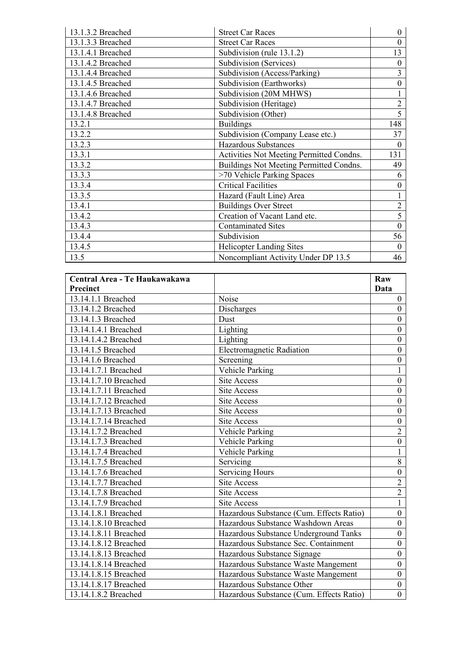| 13.1.3.2 Breached | <b>Street Car Races</b>                  | $\boldsymbol{0}$ |
|-------------------|------------------------------------------|------------------|
| 13.1.3.3 Breached | <b>Street Car Races</b>                  | $\overline{0}$   |
| 13.1.4.1 Breached | Subdivision (rule 13.1.2)                | 13               |
| 13.1.4.2 Breached | Subdivision (Services)                   | $\boldsymbol{0}$ |
| 13.1.4.4 Breached | Subdivision (Access/Parking)             | $\overline{3}$   |
| 13.1.4.5 Breached | Subdivision (Earthworks)                 | $\boldsymbol{0}$ |
| 13.1.4.6 Breached | Subdivision (20M MHWS)                   |                  |
| 13.1.4.7 Breached | Subdivision (Heritage)                   | $\overline{2}$   |
| 13.1.4.8 Breached | Subdivision (Other)                      | $\overline{5}$   |
| 13.2.1            | <b>Buildings</b>                         | 148              |
| 13.2.2            | Subdivision (Company Lease etc.)         | 37               |
| 13.2.3            | <b>Hazardous Substances</b>              | $\Omega$         |
| 13.3.1            | Activities Not Meeting Permitted Condns. | 131              |
| 13.3.2            | Buildings Not Meeting Permitted Condns.  | 49               |
| 13.3.3            | >70 Vehicle Parking Spaces               | 6                |
| 13.3.4            | <b>Critical Facilities</b>               | $\boldsymbol{0}$ |
| 13.3.5            | Hazard (Fault Line) Area                 |                  |
| 13.4.1            | <b>Buildings Over Street</b>             | $\overline{2}$   |
| 13.4.2            | Creation of Vacant Land etc.             | 5                |
| 13.4.3            | <b>Contaminated Sites</b>                | $\overline{0}$   |
| 13.4.4            | Subdivision                              | 56               |
| 13.4.5            | <b>Helicopter Landing Sites</b>          | $\theta$         |
| 13.5              | Noncompliant Activity Under DP 13.5      | 46               |

| Central Area - Te Haukawakawa |                                          | Raw              |
|-------------------------------|------------------------------------------|------------------|
| Precinct                      |                                          | Data             |
| 13.14.1.1 Breached            | Noise                                    | $\boldsymbol{0}$ |
| 13.14.1.2 Breached            | Discharges                               | $\boldsymbol{0}$ |
| 13.14.1.3 Breached            | Dust                                     | $\boldsymbol{0}$ |
| 13.14.1.4.1 Breached          | Lighting                                 | $\boldsymbol{0}$ |
| 13.14.1.4.2 Breached          | Lighting                                 | $\boldsymbol{0}$ |
| 13.14.1.5 Breached            | <b>Electromagnetic Radiation</b>         | $\boldsymbol{0}$ |
| 13.14.1.6 Breached            | Screening                                | $\boldsymbol{0}$ |
| 13.14.1.7.1 Breached          | <b>Vehicle Parking</b>                   | $\mathbf{1}$     |
| 13.14.1.7.10 Breached         | <b>Site Access</b>                       | $\boldsymbol{0}$ |
| 13.14.1.7.11 Breached         | <b>Site Access</b>                       | $\boldsymbol{0}$ |
| 13.14.1.7.12 Breached         | <b>Site Access</b>                       | $\boldsymbol{0}$ |
| 13.14.1.7.13 Breached         | <b>Site Access</b>                       | $\boldsymbol{0}$ |
| 13.14.1.7.14 Breached         | <b>Site Access</b>                       | $\boldsymbol{0}$ |
| 13.14.1.7.2 Breached          | <b>Vehicle Parking</b>                   | $\overline{2}$   |
| 13.14.1.7.3 Breached          | Vehicle Parking                          | $\boldsymbol{0}$ |
| 13.14.1.7.4 Breached          | Vehicle Parking                          | 1                |
| 13.14.1.7.5 Breached          | Servicing                                | $\overline{8}$   |
| 13.14.1.7.6 Breached          | <b>Servicing Hours</b>                   | $\mathbf{0}$     |
| 13.14.1.7.7 Breached          | <b>Site Access</b>                       | $\overline{2}$   |
| 13.14.1.7.8 Breached          | <b>Site Access</b>                       | $\overline{2}$   |
| 13.14.1.7.9 Breached          | <b>Site Access</b>                       | 1                |
| 13.14.1.8.1 Breached          | Hazardous Substance (Cum. Effects Ratio) | $\boldsymbol{0}$ |
| 13.14.1.8.10 Breached         | Hazardous Substance Washdown Areas       | $\boldsymbol{0}$ |
| 13.14.1.8.11 Breached         | Hazardous Substance Underground Tanks    | $\boldsymbol{0}$ |
| 13.14.1.8.12 Breached         | Hazardous Substance Sec. Containment     | $\boldsymbol{0}$ |
| 13.14.1.8.13 Breached         | Hazardous Substance Signage              | $\overline{0}$   |
| 13.14.1.8.14 Breached         | Hazardous Substance Waste Mangement      | $\boldsymbol{0}$ |
| 13.14.1.8.15 Breached         | Hazardous Substance Waste Mangement      | $\boldsymbol{0}$ |
| 13.14.1.8.17 Breached         | Hazardous Substance Other                | $\boldsymbol{0}$ |
| 13.14.1.8.2 Breached          | Hazardous Substance (Cum. Effects Ratio) | $\overline{0}$   |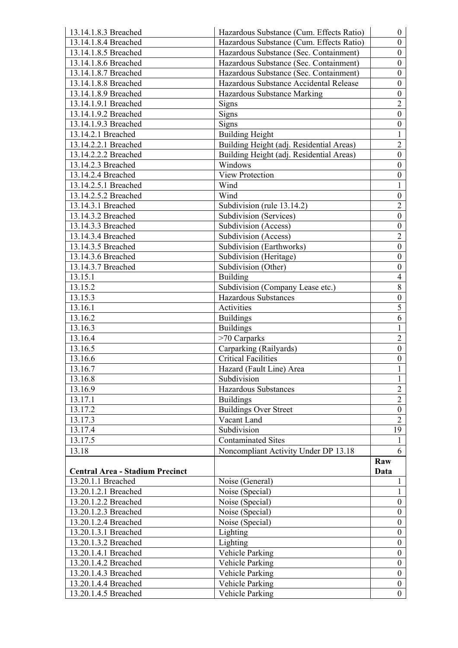| 13.14.1.8.3 Breached                   | Hazardous Substance (Cum. Effects Ratio) | $\overline{0}$   |
|----------------------------------------|------------------------------------------|------------------|
| 13.14.1.8.4 Breached                   | Hazardous Substance (Cum. Effects Ratio) | $\overline{0}$   |
| 13.14.1.8.5 Breached                   | Hazardous Substance (Sec. Containment)   | $\overline{0}$   |
| 13.14.1.8.6 Breached                   | Hazardous Substance (Sec. Containment)   | $\overline{0}$   |
| 13.14.1.8.7 Breached                   | Hazardous Substance (Sec. Containment)   | $\overline{0}$   |
| 13.14.1.8.8 Breached                   | Hazardous Substance Accidental Release   | $\overline{0}$   |
| 13.14.1.8.9 Breached                   | Hazardous Substance Marking              | $\overline{0}$   |
| 13.14.1.9.1 Breached                   | Signs                                    | $\overline{2}$   |
| 13.14.1.9.2 Breached                   | Signs                                    | $\overline{0}$   |
| 13.14.1.9.3 Breached                   | Signs                                    | $\overline{0}$   |
| 13.14.2.1 Breached                     | <b>Building Height</b>                   | $\mathbf{1}$     |
| 13.14.2.2.1 Breached                   | Building Height (adj. Residential Areas) | $\overline{2}$   |
| 13.14.2.2.2 Breached                   | Building Height (adj. Residential Areas) | $\overline{0}$   |
| 13.14.2.3 Breached                     | Windows                                  | $\overline{0}$   |
| 13.14.2.4 Breached                     | <b>View Protection</b>                   | $\overline{0}$   |
| 13.14.2.5.1 Breached                   | Wind                                     | $\mathbf{1}$     |
| 13.14.2.5.2 Breached                   | Wind                                     | $\boldsymbol{0}$ |
| 13.14.3.1 Breached                     | Subdivision (rule 13.14.2)               | $\overline{2}$   |
| 13.14.3.2 Breached                     | Subdivision (Services)                   | $\overline{0}$   |
| 13.14.3.3 Breached                     | Subdivision (Access)                     | $\boldsymbol{0}$ |
| 13.14.3.4 Breached                     | Subdivision (Access)                     | $\overline{2}$   |
| 13.14.3.5 Breached                     | Subdivision (Earthworks)                 | $\overline{0}$   |
| 13.14.3.6 Breached                     | Subdivision (Heritage)                   | $\overline{0}$   |
| 13.14.3.7 Breached                     | Subdivision (Other)                      | $\overline{0}$   |
| 13.15.1                                | <b>Building</b>                          | $\overline{4}$   |
| 13.15.2                                | Subdivision (Company Lease etc.)         | $\overline{8}$   |
| 13.15.3                                | <b>Hazardous Substances</b>              | $\overline{0}$   |
| 13.16.1                                | Activities                               | 5                |
| 13.16.2                                | <b>Buildings</b>                         | 6                |
| 13.16.3                                | <b>Buildings</b>                         | 1                |
| 13.16.4                                | $>70$ Carparks                           | $\overline{2}$   |
| 13.16.5                                | Carparking (Railyards)                   | $\overline{0}$   |
| 13.16.6                                | <b>Critical Facilities</b>               | $\overline{0}$   |
| 13.16.7                                | Hazard (Fault Line) Area                 | 1                |
| 13.16.8                                | Subdivision                              | $\mathbf{1}$     |
| 13.16.9                                | Hazardous Substances                     | $\overline{2}$   |
| 13.17.1                                | <b>Buildings</b>                         | $\overline{2}$   |
| 13.17.2                                | <b>Buildings Over Street</b>             | $\overline{0}$   |
| 13.17.3                                | Vacant Land                              | $\overline{2}$   |
| 13.17.4                                | Subdivision                              | 19               |
| 13.17.5                                | <b>Contaminated Sites</b>                | 1                |
| 13.18                                  | Noncompliant Activity Under DP 13.18     | 6                |
|                                        |                                          | Raw              |
| <b>Central Area - Stadium Precinct</b> |                                          | Data             |
| 13.20.1.1 Breached                     | Noise (General)                          | $\mathbf{1}$     |
| 13.20.1.2.1 Breached                   | Noise (Special)                          | $\mathbf{1}$     |
| 13.20.1.2.2 Breached                   | Noise (Special)                          | $\overline{0}$   |
| 13.20.1.2.3 Breached                   | Noise (Special)                          | $\overline{0}$   |
| 13.20.1.2.4 Breached                   | Noise (Special)                          | $\boldsymbol{0}$ |
| 13.20.1.3.1 Breached                   | Lighting                                 | $\boldsymbol{0}$ |
| 13.20.1.3.2 Breached                   | Lighting                                 | $\boldsymbol{0}$ |
| 13.20.1.4.1 Breached                   | Vehicle Parking                          | $\overline{0}$   |
| 13.20.1.4.2 Breached                   | <b>Vehicle Parking</b>                   | $\overline{0}$   |
| 13.20.1.4.3 Breached                   | Vehicle Parking                          | $\overline{0}$   |
| 13.20.1.4.4 Breached                   | <b>Vehicle Parking</b>                   | $\boldsymbol{0}$ |
| 13.20.1.4.5 Breached                   | Vehicle Parking                          | $\overline{0}$   |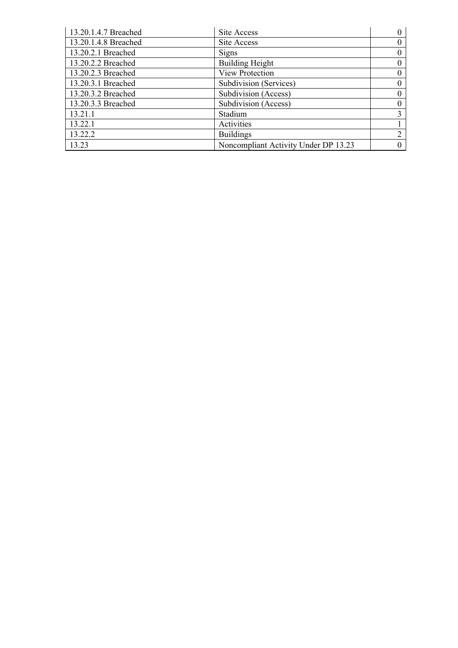| 13.20.1.4.7 Breached | Site Access                          |                |
|----------------------|--------------------------------------|----------------|
| 13.20.1.4.8 Breached | Site Access                          |                |
| 13.20.2.1 Breached   | <b>Signs</b>                         |                |
| 13.20.2.2 Breached   | <b>Building Height</b>               | 0              |
| 13.20.2.3 Breached   | <b>View Protection</b>               | 0              |
| 13.20.3.1 Breached   | Subdivision (Services)               | 0              |
| 13.20.3.2 Breached   | Subdivision (Access)                 | $\Omega$       |
| 13.20.3.3 Breached   | Subdivision (Access)                 | 0              |
| 13.21.1              | Stadium                              | 3              |
| 13.22.1              | Activities                           |                |
| 13.22.2              | <b>Buildings</b>                     | $\overline{2}$ |
| 13.23                | Noncompliant Activity Under DP 13.23 |                |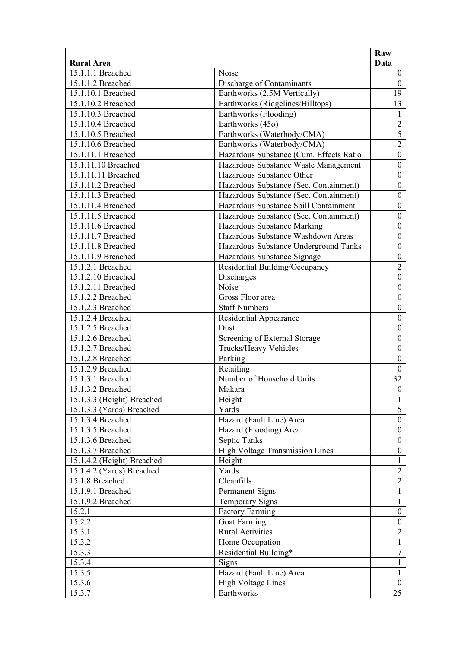|                            |                                         | Raw                            |
|----------------------------|-----------------------------------------|--------------------------------|
| <b>Rural Area</b>          |                                         | Data                           |
| 15.1.1.1 Breached          | Noise                                   | $\overline{0}$                 |
| 15.1.1.2 Breached          | Discharge of Contaminants               | $\boldsymbol{0}$               |
| 15.1.10.1 Breached         | Earthworks (2.5M Vertically)            | 19                             |
| 15.1.10.2 Breached         | Earthworks (Ridgelines/Hilltops)        | 13                             |
| 15.1.10.3 Breached         | Earthworks (Flooding)                   | $\mathbf{1}$                   |
| 15.1.10.4 Breached         | Earthworks (45o)                        | $\overline{2}$                 |
| 15.1.10.5 Breached         | Earthworks (Waterbody/CMA)              | 5                              |
| 15.1.10.6 Breached         | Earthworks (Waterbody/CMA)              | $\overline{2}$                 |
| 15.1.11.1 Breached         | Hazardous Substance (Cum. Effects Ratio | $\boldsymbol{0}$               |
| 15.1.11.10 Breached        | Hazardous Substance Waste Management    | $\boldsymbol{0}$               |
| 15.1.11.11 Breached        | Hazardous Substance Other               | $\boldsymbol{0}$               |
| 15.1.11.2 Breached         | Hazardous Substance (Sec. Containment)  | $\boldsymbol{0}$               |
| 15.1.11.3 Breached         | Hazardous Substance (Sec. Containment)  | $\boldsymbol{0}$               |
| 15.1.11.4 Breached         | Hazardous Substance Spill Containment   | $\boldsymbol{0}$               |
| 15.1.11.5 Breached         | Hazardous Substance (Sec. Containment)  | $\boldsymbol{0}$               |
| 15.1.11.6 Breached         | Hazardous Substance Marking             | $\boldsymbol{0}$               |
| 15.1.11.7 Breached         | Hazardous Substance Washdown Areas      | $\boldsymbol{0}$               |
| 15.1.11.8 Breached         | Hazardous Substance Underground Tanks   | $\boldsymbol{0}$               |
| 15.1.11.9 Breached         | Hazardous Substance Signage             | $\boldsymbol{0}$               |
| 15.1.2.1 Breached          | Residential Building/Occupancy          | $\overline{2}$                 |
| 15.1.2.10 Breached         | Discharges                              | $\boldsymbol{0}$               |
| 15.1.2.11 Breached         | Noise                                   | $\boldsymbol{0}$               |
| 15.1.2.2 Breached          | Gross Floor area                        | $\mathbf{0}$                   |
| 15.1.2.3 Breached          | <b>Staff Numbers</b>                    | $\boldsymbol{0}$               |
| 15.1.2.4 Breached          | Residential Appearance                  | $\boldsymbol{0}$               |
| 15.1.2.5 Breached          | Dust                                    | $\boldsymbol{0}$               |
| 15.1.2.6 Breached          | Screening of External Storage           | $\boldsymbol{0}$               |
| 15.1.2.7 Breached          | Trucks/Heavy Vehicles                   | $\boldsymbol{0}$               |
| 15.1.2.8 Breached          | Parking                                 | $\boldsymbol{0}$               |
| 15.1.2.9 Breached          | Retailing                               | $\boldsymbol{0}$               |
| 15.1.3.1 Breached          | Number of Household Units               | 32                             |
| 15.1.3.2 Breached          | Makara                                  | $\boldsymbol{0}$               |
|                            |                                         |                                |
| 15.1.3.3 (Height) Breached | Height<br>Yards                         | $\mathbf{1}$<br>$\overline{5}$ |
| 15.1.3.3 (Yards) Breached  |                                         |                                |
| 15.1.3.4 Breached          | Hazard (Fault Line) Area                | $\boldsymbol{0}$               |
| 15.1.3.5 Breached          | Hazard (Flooding) Area                  | $\overline{0}$                 |
| 15.1.3.6 Breached          | Septic Tanks                            | $\boldsymbol{0}$               |
| 15.1.3.7 Breached          | High Voltage Transmission Lines         | $\boldsymbol{0}$               |
| 15.1.4.2 (Height) Breached | Height                                  | $\mathbf{1}$                   |
| 15.1.4.2 (Yards) Breached  | Yards                                   | $\overline{2}$                 |
| 15.1.8 Breached            | Cleanfills                              | $\overline{2}$                 |
| 15.1.9.1 Breached          | Permanent Signs                         | $\mathbf{1}$                   |
| 15.1.9.2 Breached          | <b>Temporary Signs</b>                  | $\mathbf{1}$                   |
| 15.2.1                     | <b>Factory Farming</b>                  | $\boldsymbol{0}$               |
| 15.2.2                     | Goat Farming                            | $\boldsymbol{0}$               |
| 15.3.1                     | <b>Rural Activities</b>                 | $\overline{2}$                 |
| 15.3.2                     | Home Occupation                         | 1                              |
| 15.3.3                     | Residential Building*                   | $\tau$                         |
| 15.3.4                     | Signs                                   | 1                              |
| 15.3.5                     | Hazard (Fault Line) Area                | 1                              |
| 15.3.6                     | <b>High Voltage Lines</b>               | $\overline{0}$                 |
| 15.3.7                     | Earthworks                              | 25                             |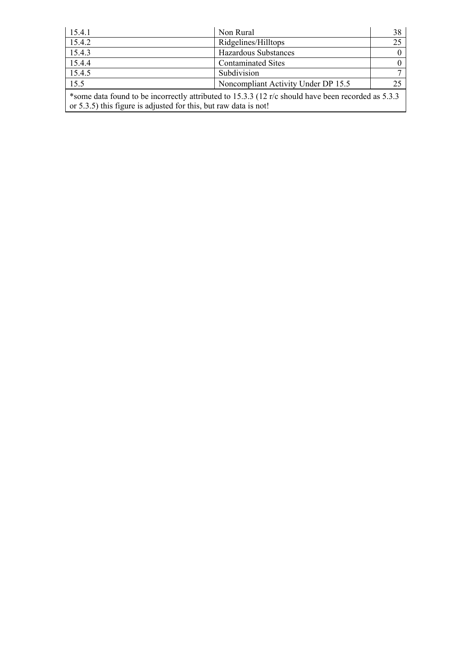| 15.4.1                                                                                                                                                                  | Non Rural                           | 38  |
|-------------------------------------------------------------------------------------------------------------------------------------------------------------------------|-------------------------------------|-----|
| 15.4.2                                                                                                                                                                  | Ridgelines/Hilltops                 | 25  |
| 15.4.3                                                                                                                                                                  | <b>Hazardous Substances</b>         |     |
| 15.4.4                                                                                                                                                                  | <b>Contaminated Sites</b>           |     |
| 15.4.5                                                                                                                                                                  | Subdivision                         |     |
| 15.5                                                                                                                                                                    | Noncompliant Activity Under DP 15.5 | -25 |
| *some data found to be incorrectly attributed to 15.3.3 (12 r/c should have been recorded as 5.3.3)<br>or 5.3.5) this figure is adjusted for this, but raw data is not! |                                     |     |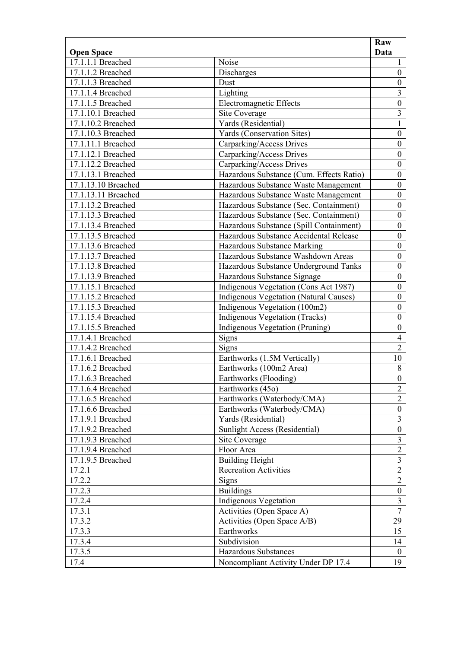|                     |                                               | Raw                     |
|---------------------|-----------------------------------------------|-------------------------|
| <b>Open Space</b>   |                                               | Data                    |
| 17.1.1.1 Breached   | Noise                                         | 1                       |
| 17.1.1.2 Breached   | Discharges                                    | $\boldsymbol{0}$        |
| 17.1.1.3 Breached   | Dust                                          | $\overline{0}$          |
| 17.1.1.4 Breached   | Lighting                                      | $\overline{3}$          |
| 17.1.1.5 Breached   | <b>Electromagnetic Effects</b>                | $\overline{0}$          |
| 17.1.10.1 Breached  | Site Coverage                                 | $\overline{\mathbf{3}}$ |
| 17.1.10.2 Breached  | Yards (Residential)                           | $\mathbf{1}$            |
| 17.1.10.3 Breached  | Yards (Conservation Sites)                    | $\boldsymbol{0}$        |
| 17.1.11.1 Breached  | Carparking/Access Drives                      | $\boldsymbol{0}$        |
| 17.1.12.1 Breached  | Carparking/Access Drives                      | $\boldsymbol{0}$        |
| 17.1.12.2 Breached  | Carparking/Access Drives                      | $\boldsymbol{0}$        |
| 17.1.13.1 Breached  | Hazardous Substance (Cum. Effects Ratio)      | $\overline{0}$          |
| 17.1.13.10 Breached | Hazardous Substance Waste Management          | $\boldsymbol{0}$        |
| 17.1.13.11 Breached | Hazardous Substance Waste Management          | $\boldsymbol{0}$        |
| 17.1.13.2 Breached  | Hazardous Substance (Sec. Containment)        | $\boldsymbol{0}$        |
| 17.1.13.3 Breached  | Hazardous Substance (Sec. Containment)        | $\boldsymbol{0}$        |
| 17.1.13.4 Breached  | Hazardous Substance (Spill Containment)       | $\overline{0}$          |
| 17.1.13.5 Breached  | Hazardous Substance Accidental Release        | $\boldsymbol{0}$        |
| 17.1.13.6 Breached  | Hazardous Substance Marking                   | $\boldsymbol{0}$        |
| 17.1.13.7 Breached  | Hazardous Substance Washdown Areas            | $\boldsymbol{0}$        |
| 17.1.13.8 Breached  | Hazardous Substance Underground Tanks         | $\boldsymbol{0}$        |
| 17.1.13.9 Breached  | Hazardous Substance Signage                   | $\overline{0}$          |
| 17.1.15.1 Breached  | Indigenous Vegetation (Cons Act 1987)         | $\boldsymbol{0}$        |
| 17.1.15.2 Breached  | <b>Indigenous Vegetation (Natural Causes)</b> | $\boldsymbol{0}$        |
| 17.1.15.3 Breached  | Indigenous Vegetation (100m2)                 | $\boldsymbol{0}$        |
| 17.1.15.4 Breached  | Indigenous Vegetation (Tracks)                | $\boldsymbol{0}$        |
| 17.1.15.5 Breached  | <b>Indigenous Vegetation (Pruning)</b>        | $\boldsymbol{0}$        |
| 17.1.4.1 Breached   | Signs                                         | $\overline{4}$          |
| 17.1.4.2 Breached   | <b>Signs</b>                                  | $\overline{2}$          |
| 17.1.6.1 Breached   | Earthworks (1.5M Vertically)                  | 10                      |
| 17.1.6.2 Breached   | Earthworks (100m2 Area)                       | $8\,$                   |
| 17.1.6.3 Breached   | Earthworks (Flooding)                         | $\overline{0}$          |
| 17.1.6.4 Breached   | Earthworks (45o)                              | $\overline{2}$          |
| 17.1.6.5 Breached   | Earthworks (Waterbody/CMA)                    | $\overline{2}$          |
| 17.1.6.6 Breached   | Earthworks (Waterbody/CMA)                    | $\boldsymbol{0}$        |
| 17.1.9.1 Breached   | Yards (Residential)                           | $\overline{\mathbf{3}}$ |
| 17.1.9.2 Breached   | Sunlight Access (Residential)                 | $\boldsymbol{0}$        |
| 17.1.9.3 Breached   | Site Coverage                                 | $\overline{\mathbf{3}}$ |
| 17.1.9.4 Breached   | Floor Area                                    | $\overline{2}$          |
| 17.1.9.5 Breached   | <b>Building Height</b>                        | $\overline{3}$          |
| 17.2.1              | <b>Recreation Activities</b>                  | $\overline{2}$          |
| 17.2.2              | Signs                                         | $\overline{2}$          |
| 17.2.3              | <b>Buildings</b>                              | $\boldsymbol{0}$        |
| 17.2.4              | <b>Indigenous Vegetation</b>                  | $\overline{\mathbf{3}}$ |
| 17.3.1              | Activities (Open Space A)                     | $\overline{7}$          |
| 17.3.2              | Activities (Open Space A/B)                   | 29                      |
| 17.3.3              | Earthworks                                    | 15                      |
| 17.3.4              | Subdivision                                   | 14                      |
| 17.3.5              | Hazardous Substances                          | $\mathbf{0}$            |
| 17.4                | Noncompliant Activity Under DP 17.4           | 19                      |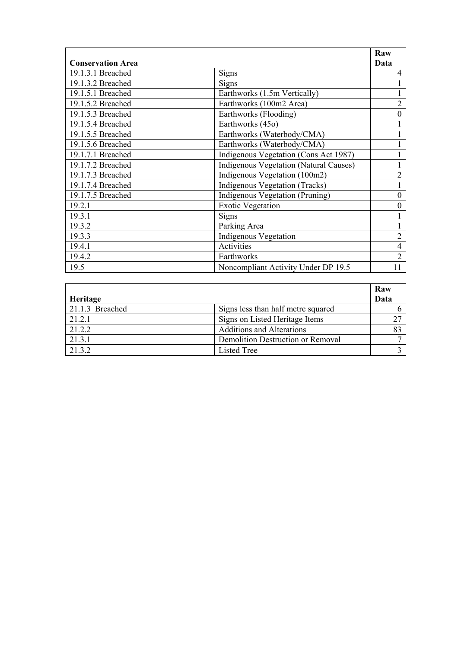|                          |                                               | Raw              |
|--------------------------|-----------------------------------------------|------------------|
| <b>Conservation Area</b> |                                               | Data             |
| 19.1.3.1 Breached        | Signs                                         | 4                |
| 19.1.3.2 Breached        | Signs                                         |                  |
| 19.1.5.1 Breached        | Earthworks (1.5m Vertically)                  |                  |
| 19.1.5.2 Breached        | Earthworks (100m2 Area)                       | $\overline{2}$   |
| 19.1.5.3 Breached        | Earthworks (Flooding)                         | $\overline{0}$   |
| 19.1.5.4 Breached        | Earthworks (45o)                              |                  |
| 19.1.5.5 Breached        | Earthworks (Waterbody/CMA)                    |                  |
| 19.1.5.6 Breached        | Earthworks (Waterbody/CMA)                    |                  |
| 19.1.7.1 Breached        | Indigenous Vegetation (Cons Act 1987)         |                  |
| 19.1.7.2 Breached        | <b>Indigenous Vegetation (Natural Causes)</b> |                  |
| 19.1.7.3 Breached        | Indigenous Vegetation (100m2)                 | $\overline{2}$   |
| 19.1.7.4 Breached        | Indigenous Vegetation (Tracks)                |                  |
| 19.1.7.5 Breached        | Indigenous Vegetation (Pruning)               | $\boldsymbol{0}$ |
| 19.2.1                   | <b>Exotic Vegetation</b>                      | $\theta$         |
| 19.3.1                   | Signs                                         |                  |
| 19.3.2                   | Parking Area                                  |                  |
| 19.3.3                   | <b>Indigenous Vegetation</b>                  | $\overline{2}$   |
| 19.4.1                   | Activities                                    | $\overline{4}$   |
| 19.4.2                   | Earthworks                                    | $\overline{2}$   |
| 19.5                     | Noncompliant Activity Under DP 19.5           | 11               |

|                 |                                    | <b>Raw</b> |
|-----------------|------------------------------------|------------|
| Heritage        |                                    | Data       |
| 21.1.3 Breached | Signs less than half metre squared |            |
| 21.2.1          | Signs on Listed Heritage Items     |            |
| 21.2.2          | <b>Additions and Alterations</b>   |            |
| 21.3.1          | Demolition Destruction or Removal  |            |
| 21.3.2          | Listed Tree                        |            |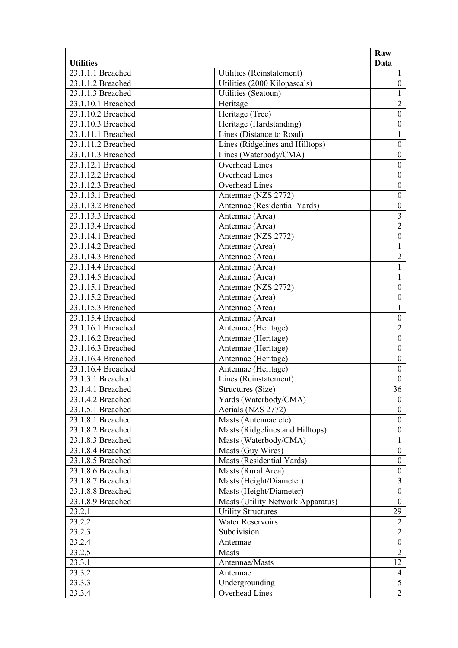|                    |                                   | Raw                                  |
|--------------------|-----------------------------------|--------------------------------------|
| <b>Utilities</b>   |                                   | Data                                 |
| 23.1.1.1 Breached  | Utilities (Reinstatement)         | 1                                    |
| 23.1.1.2 Breached  | Utilities (2000 Kilopascals)      | $\boldsymbol{0}$                     |
| 23.1.1.3 Breached  | Utilities (Seatoun)               | $\mathbf{1}$                         |
| 23.1.10.1 Breached | Heritage                          | $\overline{2}$                       |
| 23.1.10.2 Breached | Heritage (Tree)                   | $\mathbf{0}$                         |
| 23.1.10.3 Breached | Heritage (Hardstanding)           | $\boldsymbol{0}$                     |
| 23.1.11.1 Breached | Lines (Distance to Road)          | $\mathbf{1}$                         |
| 23.1.11.2 Breached | Lines (Ridgelines and Hilltops)   | $\boldsymbol{0}$                     |
| 23.1.11.3 Breached | Lines (Waterbody/CMA)             | $\boldsymbol{0}$                     |
| 23.1.12.1 Breached | <b>Overhead Lines</b>             | $\boldsymbol{0}$                     |
| 23.1.12.2 Breached | Overhead Lines                    | $\boldsymbol{0}$                     |
| 23.1.12.3 Breached | Overhead Lines                    | $\boldsymbol{0}$                     |
| 23.1.13.1 Breached | Antennae (NZS 2772)               | $\boldsymbol{0}$                     |
| 23.1.13.2 Breached | Antennae (Residential Yards)      | $\boldsymbol{0}$                     |
| 23.1.13.3 Breached | Antennae (Area)                   | $\overline{\mathbf{3}}$              |
| 23.1.13.4 Breached | Antennae (Area)                   | $\overline{2}$                       |
| 23.1.14.1 Breached | Antennae (NZS 2772)               | $\boldsymbol{0}$                     |
| 23.1.14.2 Breached | Antennae (Area)                   | 1                                    |
| 23.1.14.3 Breached | Antennae (Area)                   | $\overline{2}$                       |
| 23.1.14.4 Breached | Antennae (Area)                   | $\mathbf{1}$                         |
| 23.1.14.5 Breached | Antennae (Area)                   | 1                                    |
| 23.1.15.1 Breached | Antennae (NZS 2772)               | $\boldsymbol{0}$                     |
| 23.1.15.2 Breached | Antennae (Area)                   | $\boldsymbol{0}$                     |
| 23.1.15.3 Breached | Antennae (Area)                   | $\mathbf{1}$                         |
| 23.1.15.4 Breached | Antennae (Area)                   | $\boldsymbol{0}$                     |
| 23.1.16.1 Breached | Antennae (Heritage)               | $\overline{2}$                       |
| 23.1.16.2 Breached | Antennae (Heritage)               | $\boldsymbol{0}$                     |
| 23.1.16.3 Breached | Antennae (Heritage)               | $\boldsymbol{0}$                     |
| 23.1.16.4 Breached | Antennae (Heritage)               | $\boldsymbol{0}$                     |
| 23.1.16.4 Breached | Antennae (Heritage)               | $\boldsymbol{0}$                     |
| 23.1.3.1 Breached  | Lines (Reinstatement)             | $\boldsymbol{0}$                     |
| 23.1.4.1 Breached  | Structures (Size)                 | 36                                   |
| 23.1.4.2 Breached  | Yards (Waterbody/CMA)             | $\boldsymbol{0}$                     |
| 23.1.5.1 Breached  | Aerials (NZS 2772)                | $\boldsymbol{0}$                     |
|                    |                                   |                                      |
| 23.1.8.1 Breached  | Masts (Antennae etc)              | $\boldsymbol{0}$<br>$\boldsymbol{0}$ |
| 23.1.8.2 Breached  | Masts (Ridgelines and Hilltops)   |                                      |
| 23.1.8.3 Breached  | Masts (Waterbody/CMA)             | 1                                    |
| 23.1.8.4 Breached  | Masts (Guy Wires)                 | $\boldsymbol{0}$                     |
| 23.1.8.5 Breached  | Masts (Residential Yards)         | $\boldsymbol{0}$                     |
| 23.1.8.6 Breached  | Masts (Rural Area)                | $\boldsymbol{0}$                     |
| 23.1.8.7 Breached  | Masts (Height/Diameter)           | 3                                    |
| 23.1.8.8 Breached  | Masts (Height/Diameter)           | $\boldsymbol{0}$                     |
| 23.1.8.9 Breached  | Masts (Utility Network Apparatus) | $\boldsymbol{0}$                     |
| 23.2.1             | <b>Utility Structures</b>         | 29                                   |
| 23.2.2             | <b>Water Reservoirs</b>           | $\overline{2}$                       |
| 23.2.3             | Subdivision                       | $\overline{2}$                       |
| 23.2.4             | Antennae                          | $\boldsymbol{0}$                     |
| 23.2.5             | Masts                             | $\overline{2}$                       |
| 23.3.1             | Antennae/Masts                    | 12                                   |
| 23.3.2             | Antennae                          | $\overline{4}$                       |
| 23.3.3             | Undergrounding                    | 5                                    |
| 23.3.4             | Overhead Lines                    | $\overline{2}$                       |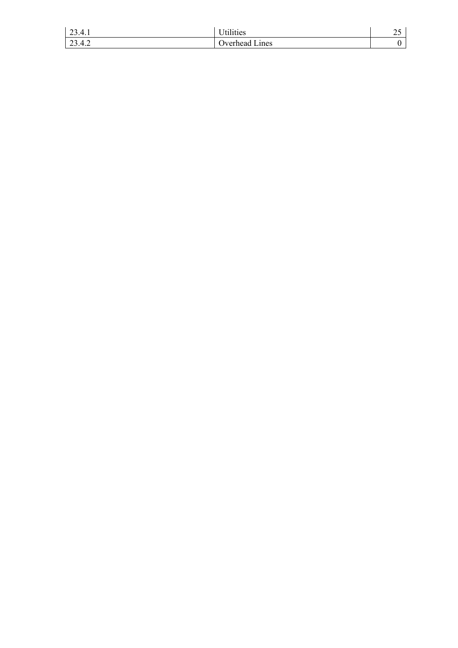| 23.4.1 | $\mathbf{v}$ , $\mathbf{v}$ , $\mathbf{v}$ , $\mathbf{v}$<br>Jtilities | $\sim$<br>∼ |
|--------|------------------------------------------------------------------------|-------------|
| 23.4.2 | <b>Diverhead Lines</b>                                                 |             |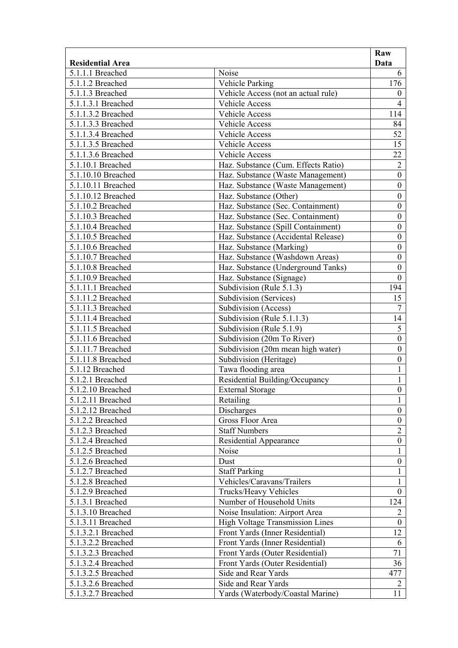| Noise<br>5.1.1.1 Breached<br>6<br>176<br>Vehicle Parking<br>5.1.1.2 Breached<br>5.1.1.3 Breached<br>Vehicle Access (not an actual rule)<br>$\boldsymbol{0}$<br>5.1.1.3.1 Breached<br>$\overline{4}$<br>Vehicle Access<br>114<br>5.1.1.3.2 Breached<br>Vehicle Access<br>84<br>5.1.1.3.3 Breached<br>Vehicle Access<br>52<br>5.1.1.3.4 Breached<br>Vehicle Access<br>15<br>5.1.1.3.5 Breached<br>Vehicle Access<br>5.1.1.3.6 Breached<br>Vehicle Access<br>22<br>$\overline{2}$<br>Haz. Substance (Cum. Effects Ratio)<br>5.1.10.1 Breached<br>5.1.10.10 Breached<br>$\boldsymbol{0}$<br>Haz. Substance (Waste Management)<br>$\boldsymbol{0}$<br>5.1.10.11 Breached<br>Haz. Substance (Waste Management)<br>$\boldsymbol{0}$ |                         |                        | Raw  |
|------------------------------------------------------------------------------------------------------------------------------------------------------------------------------------------------------------------------------------------------------------------------------------------------------------------------------------------------------------------------------------------------------------------------------------------------------------------------------------------------------------------------------------------------------------------------------------------------------------------------------------------------------------------------------------------------------------------------------|-------------------------|------------------------|------|
|                                                                                                                                                                                                                                                                                                                                                                                                                                                                                                                                                                                                                                                                                                                              | <b>Residential Area</b> |                        | Data |
|                                                                                                                                                                                                                                                                                                                                                                                                                                                                                                                                                                                                                                                                                                                              |                         |                        |      |
|                                                                                                                                                                                                                                                                                                                                                                                                                                                                                                                                                                                                                                                                                                                              |                         |                        |      |
|                                                                                                                                                                                                                                                                                                                                                                                                                                                                                                                                                                                                                                                                                                                              |                         |                        |      |
|                                                                                                                                                                                                                                                                                                                                                                                                                                                                                                                                                                                                                                                                                                                              |                         |                        |      |
|                                                                                                                                                                                                                                                                                                                                                                                                                                                                                                                                                                                                                                                                                                                              |                         |                        |      |
|                                                                                                                                                                                                                                                                                                                                                                                                                                                                                                                                                                                                                                                                                                                              |                         |                        |      |
|                                                                                                                                                                                                                                                                                                                                                                                                                                                                                                                                                                                                                                                                                                                              |                         |                        |      |
|                                                                                                                                                                                                                                                                                                                                                                                                                                                                                                                                                                                                                                                                                                                              |                         |                        |      |
|                                                                                                                                                                                                                                                                                                                                                                                                                                                                                                                                                                                                                                                                                                                              |                         |                        |      |
|                                                                                                                                                                                                                                                                                                                                                                                                                                                                                                                                                                                                                                                                                                                              |                         |                        |      |
|                                                                                                                                                                                                                                                                                                                                                                                                                                                                                                                                                                                                                                                                                                                              |                         |                        |      |
|                                                                                                                                                                                                                                                                                                                                                                                                                                                                                                                                                                                                                                                                                                                              |                         |                        |      |
|                                                                                                                                                                                                                                                                                                                                                                                                                                                                                                                                                                                                                                                                                                                              | 5.1.10.12 Breached      | Haz. Substance (Other) |      |
| $\boldsymbol{0}$<br>Haz. Substance (Sec. Containment)<br>5.1.10.2 Breached                                                                                                                                                                                                                                                                                                                                                                                                                                                                                                                                                                                                                                                   |                         |                        |      |
| $\boldsymbol{0}$<br>5.1.10.3 Breached<br>Haz. Substance (Sec. Containment)                                                                                                                                                                                                                                                                                                                                                                                                                                                                                                                                                                                                                                                   |                         |                        |      |
| $\boldsymbol{0}$<br>5.1.10.4 Breached<br>Haz. Substance (Spill Containment)                                                                                                                                                                                                                                                                                                                                                                                                                                                                                                                                                                                                                                                  |                         |                        |      |
| Haz. Substance (Accidental Release)<br>5.1.10.5 Breached<br>$\boldsymbol{0}$                                                                                                                                                                                                                                                                                                                                                                                                                                                                                                                                                                                                                                                 |                         |                        |      |
| 5.1.10.6 Breached<br>$\boldsymbol{0}$<br>Haz. Substance (Marking)                                                                                                                                                                                                                                                                                                                                                                                                                                                                                                                                                                                                                                                            |                         |                        |      |
| $\boldsymbol{0}$<br>Haz. Substance (Washdown Areas)<br>5.1.10.7 Breached                                                                                                                                                                                                                                                                                                                                                                                                                                                                                                                                                                                                                                                     |                         |                        |      |
| $\boldsymbol{0}$<br>5.1.10.8 Breached<br>Haz. Substance (Underground Tanks)                                                                                                                                                                                                                                                                                                                                                                                                                                                                                                                                                                                                                                                  |                         |                        |      |
| 5.1.10.9 Breached<br>Haz. Substance (Signage)<br>$\overline{0}$                                                                                                                                                                                                                                                                                                                                                                                                                                                                                                                                                                                                                                                              |                         |                        |      |
| 5.1.11.1 Breached<br>Subdivision (Rule 5.1.3)<br>194                                                                                                                                                                                                                                                                                                                                                                                                                                                                                                                                                                                                                                                                         |                         |                        |      |
| 15<br>5.1.11.2 Breached<br>Subdivision (Services)                                                                                                                                                                                                                                                                                                                                                                                                                                                                                                                                                                                                                                                                            |                         |                        |      |
| Subdivision (Access)<br>$\tau$<br>5.1.11.3 Breached                                                                                                                                                                                                                                                                                                                                                                                                                                                                                                                                                                                                                                                                          |                         |                        |      |
| 14<br>Subdivision (Rule 5.1.1.3)<br>5.1.11.4 Breached                                                                                                                                                                                                                                                                                                                                                                                                                                                                                                                                                                                                                                                                        |                         |                        |      |
| $\overline{5}$<br>5.1.11.5 Breached<br>Subdivision (Rule 5.1.9)                                                                                                                                                                                                                                                                                                                                                                                                                                                                                                                                                                                                                                                              |                         |                        |      |
| 5.1.11.6 Breached<br>Subdivision (20m To River)<br>$\boldsymbol{0}$                                                                                                                                                                                                                                                                                                                                                                                                                                                                                                                                                                                                                                                          |                         |                        |      |
| $\mathbf{0}$<br>Subdivision (20m mean high water)<br>5.1.11.7 Breached                                                                                                                                                                                                                                                                                                                                                                                                                                                                                                                                                                                                                                                       |                         |                        |      |
| Subdivision (Heritage)<br>$\boldsymbol{0}$<br>5.1.11.8 Breached                                                                                                                                                                                                                                                                                                                                                                                                                                                                                                                                                                                                                                                              |                         |                        |      |
| 5.1.12 Breached<br>Tawa flooding area<br>$\mathbf{1}$                                                                                                                                                                                                                                                                                                                                                                                                                                                                                                                                                                                                                                                                        |                         |                        |      |
| Residential Building/Occupancy<br>$\mathbf{1}$<br>5.1.2.1 Breached                                                                                                                                                                                                                                                                                                                                                                                                                                                                                                                                                                                                                                                           |                         |                        |      |
| $\boldsymbol{0}$<br>5.1.2.10 Breached<br><b>External Storage</b>                                                                                                                                                                                                                                                                                                                                                                                                                                                                                                                                                                                                                                                             |                         |                        |      |
| Retailing<br>5.1.2.11 Breached<br>$\mathbf{1}$                                                                                                                                                                                                                                                                                                                                                                                                                                                                                                                                                                                                                                                                               |                         |                        |      |
| <b>Discharges</b><br>$\boldsymbol{0}$<br>5.1.2.12 Breached                                                                                                                                                                                                                                                                                                                                                                                                                                                                                                                                                                                                                                                                   |                         |                        |      |
| 5.1.2.2 Breached<br>Gross Floor Area<br>$\boldsymbol{0}$                                                                                                                                                                                                                                                                                                                                                                                                                                                                                                                                                                                                                                                                     |                         |                        |      |
| $\overline{2}$<br><b>Staff Numbers</b><br>5.1.2.3 Breached                                                                                                                                                                                                                                                                                                                                                                                                                                                                                                                                                                                                                                                                   |                         |                        |      |
| $\boldsymbol{0}$<br>5.1.2.4 Breached<br><b>Residential Appearance</b>                                                                                                                                                                                                                                                                                                                                                                                                                                                                                                                                                                                                                                                        |                         |                        |      |
| $\mathbf{1}$<br>5.1.2.5 Breached<br>Noise                                                                                                                                                                                                                                                                                                                                                                                                                                                                                                                                                                                                                                                                                    |                         |                        |      |
| $\boldsymbol{0}$<br>5.1.2.6 Breached<br>Dust                                                                                                                                                                                                                                                                                                                                                                                                                                                                                                                                                                                                                                                                                 |                         |                        |      |
| <b>Staff Parking</b><br>$\mathbf{1}$<br>5.1.2.7 Breached                                                                                                                                                                                                                                                                                                                                                                                                                                                                                                                                                                                                                                                                     |                         |                        |      |
| Vehicles/Caravans/Trailers<br>5.1.2.8 Breached<br>1                                                                                                                                                                                                                                                                                                                                                                                                                                                                                                                                                                                                                                                                          |                         |                        |      |
| 5.1.2.9 Breached<br>$\overline{0}$<br>Trucks/Heavy Vehicles                                                                                                                                                                                                                                                                                                                                                                                                                                                                                                                                                                                                                                                                  |                         |                        |      |
| Number of Household Units<br>124<br>5.1.3.1 Breached                                                                                                                                                                                                                                                                                                                                                                                                                                                                                                                                                                                                                                                                         |                         |                        |      |
| 5.1.3.10 Breached<br>Noise Insulation: Airport Area<br>$\overline{2}$                                                                                                                                                                                                                                                                                                                                                                                                                                                                                                                                                                                                                                                        |                         |                        |      |
| 5.1.3.11 Breached<br><b>High Voltage Transmission Lines</b><br>$\overline{0}$                                                                                                                                                                                                                                                                                                                                                                                                                                                                                                                                                                                                                                                |                         |                        |      |
| 5.1.3.2.1 Breached<br>Front Yards (Inner Residential)<br>12                                                                                                                                                                                                                                                                                                                                                                                                                                                                                                                                                                                                                                                                  |                         |                        |      |
| 5.1.3.2.2 Breached<br>Front Yards (Inner Residential)<br>6                                                                                                                                                                                                                                                                                                                                                                                                                                                                                                                                                                                                                                                                   |                         |                        |      |
| 71<br>5.1.3.2.3 Breached<br>Front Yards (Outer Residential)                                                                                                                                                                                                                                                                                                                                                                                                                                                                                                                                                                                                                                                                  |                         |                        |      |
| 5.1.3.2.4 Breached<br>Front Yards (Outer Residential)                                                                                                                                                                                                                                                                                                                                                                                                                                                                                                                                                                                                                                                                        |                         |                        | 36   |
| 5.1.3.2.5 Breached<br>Side and Rear Yards<br>477                                                                                                                                                                                                                                                                                                                                                                                                                                                                                                                                                                                                                                                                             |                         |                        |      |
| 5.1.3.2.6 Breached<br>Side and Rear Yards<br>$\overline{2}$                                                                                                                                                                                                                                                                                                                                                                                                                                                                                                                                                                                                                                                                  |                         |                        |      |
| 5.1.3.2.7 Breached<br>11<br>Yards (Waterbody/Coastal Marine)                                                                                                                                                                                                                                                                                                                                                                                                                                                                                                                                                                                                                                                                 |                         |                        |      |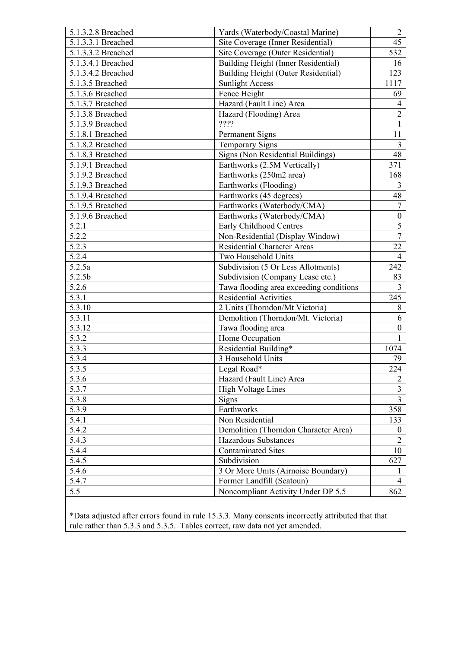| 5.1.3.2.8 Breached | Yards (Waterbody/Coastal Marine)        | $\overline{2}$          |
|--------------------|-----------------------------------------|-------------------------|
| 5.1.3.3.1 Breached | Site Coverage (Inner Residential)       | 45                      |
| 5.1.3.3.2 Breached | Site Coverage (Outer Residential)       | 532                     |
| 5.1.3.4.1 Breached | Building Height (Inner Residential)     | 16                      |
| 5.1.3.4.2 Breached | Building Height (Outer Residential)     | 123                     |
| 5.1.3.5 Breached   | <b>Sunlight Access</b>                  | 1117                    |
| 5.1.3.6 Breached   | Fence Height                            | 69                      |
| 5.1.3.7 Breached   | Hazard (Fault Line) Area                | $\overline{4}$          |
| 5.1.3.8 Breached   | Hazard (Flooding) Area                  | $\overline{2}$          |
| 5.1.3.9 Breached   | ????                                    | $\mathbf{1}$            |
| 5.1.8.1 Breached   | <b>Permanent Signs</b>                  | 11                      |
| 5.1.8.2 Breached   | <b>Temporary Signs</b>                  | $\overline{3}$          |
| 5.1.8.3 Breached   | Signs (Non Residential Buildings)       | 48                      |
| 5.1.9.1 Breached   | Earthworks (2.5M Vertically)            | 371                     |
| 5.1.9.2 Breached   | Earthworks (250m2 area)                 | 168                     |
| 5.1.9.3 Breached   | Earthworks (Flooding)                   | $\overline{3}$          |
| 5.1.9.4 Breached   | Earthworks (45 degrees)                 | 48                      |
| 5.1.9.5 Breached   | Earthworks (Waterbody/CMA)              | $\overline{7}$          |
| 5.1.9.6 Breached   | Earthworks (Waterbody/CMA)              | $\boldsymbol{0}$        |
| 5.2.1              | Early Childhood Centres                 | 5                       |
| 5.2.2              | Non-Residential (Display Window)        | $\overline{7}$          |
| 5.2.3              | <b>Residential Character Areas</b>      | 22                      |
| 5.2.4              | Two Household Units                     | $\overline{4}$          |
| 5.2.5a             | Subdivision (5 Or Less Allotments)      | 242                     |
| 5.2.5b             | Subdivision (Company Lease etc.)        | 83                      |
| 5.2.6              | Tawa flooding area exceeding conditions | $\overline{3}$          |
| 5.3.1              | <b>Residential Activities</b>           | 245                     |
| 5.3.10             | 2 Units (Thorndon/Mt Victoria)          | 8                       |
| 5.3.11             | Demolition (Thorndon/Mt. Victoria)      | 6                       |
| 5.3.12             | Tawa flooding area                      | $\boldsymbol{0}$        |
| 5.3.2              | Home Occupation                         |                         |
| 5.3.3              | Residential Building*                   | 1074                    |
| 5.3.4              | 3 Household Units                       | 79                      |
| 5.3.5              | Legal Road*                             | 224                     |
| 5.3.6              | Hazard (Fault Line) Area                | $\overline{2}$          |
| 5.3.7              | <b>High Voltage Lines</b>               | $\overline{\mathbf{3}}$ |
| 5.3.8              | Signs                                   | $\overline{3}$          |
| 5.3.9              | Earthworks                              | 358                     |
| 5.4.1              | Non Residential                         | 133                     |
| 5.4.2              | Demolition (Thorndon Character Area)    | $\boldsymbol{0}$        |
| 5.4.3              | Hazardous Substances                    | $\overline{2}$          |
| 5.4.4              | <b>Contaminated Sites</b>               | 10                      |
| 5.4.5              | Subdivision                             | 627                     |
| 5.4.6              | 3 Or More Units (Airnoise Boundary)     | 1                       |
| 5.4.7              | Former Landfill (Seatoun)               | $\overline{4}$          |
| 5.5                | Noncompliant Activity Under DP 5.5      | 862                     |
|                    |                                         |                         |

\*Data adjusted after errors found in rule 15.3.3. Many consents incorrectly attributed that that rule rather than 5.3.3 and 5.3.5. Tables correct, raw data not yet amended.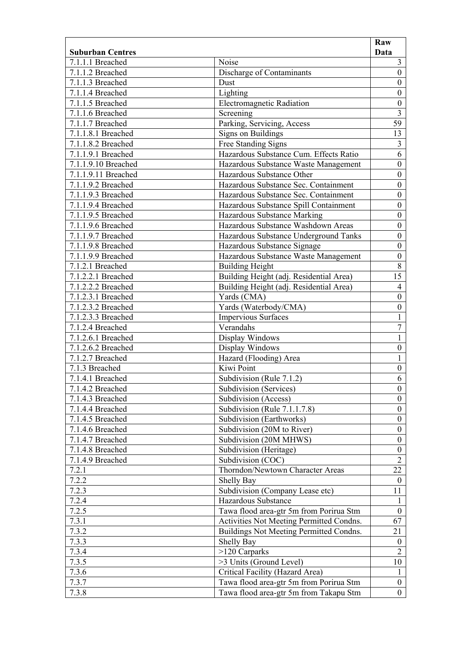| <b>Suburban Centres</b><br>Noise<br>7.1.1.1 Breached<br>Discharge of Contaminants<br>7.1.1.2 Breached | Data<br>$\mathfrak{Z}$<br>$\boldsymbol{0}$ |
|-------------------------------------------------------------------------------------------------------|--------------------------------------------|
|                                                                                                       |                                            |
|                                                                                                       |                                            |
|                                                                                                       |                                            |
| 7.1.1.3 Breached<br>Dust                                                                              | $\boldsymbol{0}$                           |
| Lighting<br>7.1.1.4 Breached                                                                          | $\boldsymbol{0}$                           |
| <b>Electromagnetic Radiation</b><br>7.1.1.5 Breached                                                  | $\boldsymbol{0}$                           |
| 7.1.1.6 Breached<br>Screening                                                                         | $\overline{\mathbf{3}}$                    |
| Parking, Servicing, Access<br>7.1.1.7 Breached                                                        | 59                                         |
| 7.1.1.8.1 Breached<br><b>Signs on Buildings</b>                                                       | 13                                         |
| 7.1.1.8.2 Breached<br>Free Standing Signs                                                             | $\overline{3}$                             |
| Hazardous Substance Cum. Effects Ratio<br>7.1.1.9.1 Breached                                          | $\overline{6}$                             |
| 7.1.1.9.10 Breached<br>Hazardous Substance Waste Management                                           | $\boldsymbol{0}$                           |
| Hazardous Substance Other<br>7.1.1.9.11 Breached                                                      | $\boldsymbol{0}$                           |
| 7.1.1.9.2 Breached<br>Hazardous Substance Sec. Containment                                            | $\boldsymbol{0}$                           |
| 7.1.1.9.3 Breached<br>Hazardous Substance Sec. Containment                                            | $\boldsymbol{0}$                           |
| 7.1.1.9.4 Breached<br>Hazardous Substance Spill Containment                                           | $\boldsymbol{0}$                           |
| Hazardous Substance Marking<br>7.1.1.9.5 Breached                                                     | $\boldsymbol{0}$                           |
| Hazardous Substance Washdown Areas<br>7.1.1.9.6 Breached                                              | $\boldsymbol{0}$                           |
| Hazardous Substance Underground Tanks<br>7.1.1.9.7 Breached                                           | $\boldsymbol{0}$                           |
| 7.1.1.9.8 Breached<br>Hazardous Substance Signage                                                     | $\boldsymbol{0}$                           |
| 7.1.1.9.9 Breached<br>Hazardous Substance Waste Management                                            | $\boldsymbol{0}$                           |
| 7.1.2.1 Breached<br><b>Building Height</b>                                                            | $8\,$                                      |
| Building Height (adj. Residential Area)<br>7.1.2.2.1 Breached                                         | 15                                         |
| Building Height (adj. Residential Area)<br>7.1.2.2.2 Breached                                         | $\overline{4}$                             |
| Yards (CMA)<br>7.1.2.3.1 Breached                                                                     | $\boldsymbol{0}$                           |
| 7.1.2.3.2 Breached<br>Yards (Waterbody/CMA)                                                           | $\boldsymbol{0}$                           |
| 7.1.2.3.3 Breached<br>Impervious Surfaces                                                             | $\mathbf{1}$                               |
| 7.1.2.4 Breached<br>Verandahs                                                                         | $\overline{7}$                             |
| 7.1.2.6.1 Breached<br>Display Windows                                                                 | $\mathbf{1}$                               |
| Display Windows<br>7.1.2.6.2 Breached                                                                 | $\boldsymbol{0}$                           |
| Hazard (Flooding) Area<br>7.1.2.7 Breached                                                            | $\mathbf{1}$                               |
| 7.1.3 Breached<br>Kiwi Point                                                                          | $\boldsymbol{0}$                           |
| Subdivision (Rule $7.1.2$ )<br>7.1.4.1 Breached                                                       | 6                                          |
| 7.1.4.2 Breached<br>Subdivision (Services)                                                            | $\mathbf{0}$                               |
| Subdivision (Access)<br>7.1.4.3 Breached                                                              | $\overline{0}$                             |
| 7.1.4.4 Breached<br>Subdivision (Rule 7.1.1.7.8)                                                      | $\boldsymbol{0}$                           |
| Subdivision (Earthworks)<br>7.1.4.5 Breached                                                          | $\mathbf{0}$                               |
| Subdivision (20M to River)<br>7.1.4.6 Breached                                                        | $\overline{0}$                             |
| 7.1.4.7 Breached<br>Subdivision (20M MHWS)                                                            | $\boldsymbol{0}$                           |
| Subdivision (Heritage)<br>7.1.4.8 Breached                                                            | $\boldsymbol{0}$                           |
| 7.1.4.9 Breached<br>Subdivision (COC)                                                                 | $\overline{2}$                             |
| 7.2.1<br>Thorndon/Newtown Character Areas                                                             | 22                                         |
| 7.2.2<br>Shelly Bay                                                                                   | $\overline{0}$                             |
| 7.2.3<br>Subdivision (Company Lease etc)                                                              | 11                                         |
| 7.2.4<br>Hazardous Substance                                                                          | 1                                          |
| 7.2.5<br>Tawa flood area-gtr 5m from Porirua Stm                                                      | $\overline{0}$                             |
| 7.3.1<br>Activities Not Meeting Permitted Condns.                                                     | 67                                         |
| 7.3.2<br>Buildings Not Meeting Permitted Condns.                                                      | 21                                         |
| 7.3.3<br>Shelly Bay                                                                                   | $\boldsymbol{0}$                           |
| 7.3.4<br>>120 Carparks                                                                                | $\overline{2}$                             |
| 7.3.5<br>>3 Units (Ground Level)                                                                      | 10                                         |
| 7.3.6<br>Critical Facility (Hazard Area)                                                              | $\mathbf{1}$                               |
| 7.3.7<br>Tawa flood area-gtr 5m from Porirua Stm                                                      | $\overline{0}$                             |
| Tawa flood area-gtr 5m from Takapu Stm<br>7.3.8                                                       | $\overline{0}$                             |